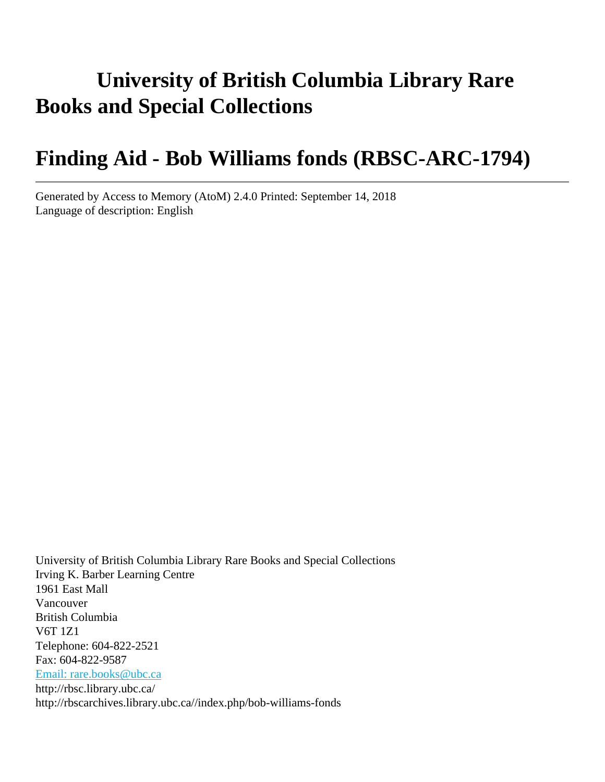# **University of British Columbia Library Rare Books and Special Collections**

# **Finding Aid - Bob Williams fonds (RBSC-ARC-1794)**

Generated by Access to Memory (AtoM) 2.4.0 Printed: September 14, 2018 Language of description: English

University of British Columbia Library Rare Books and Special Collections Irving K. Barber Learning Centre 1961 East Mall Vancouver British Columbia V6T 1Z1 Telephone: 604-822-2521 Fax: 604-822-9587 [Email: rare.books@ubc.ca](mailto:Email: rare.books@ubc.ca) http://rbsc.library.ubc.ca/ http://rbscarchives.library.ubc.ca//index.php/bob-williams-fonds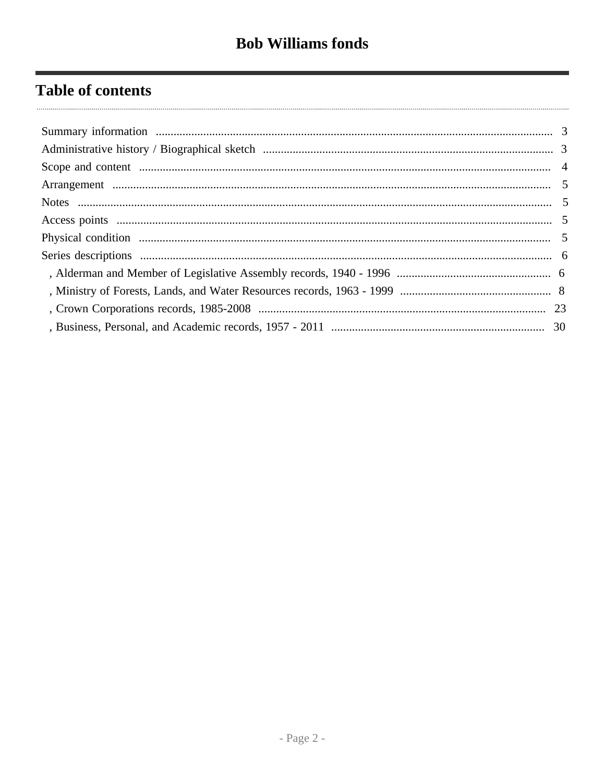# **Table of contents**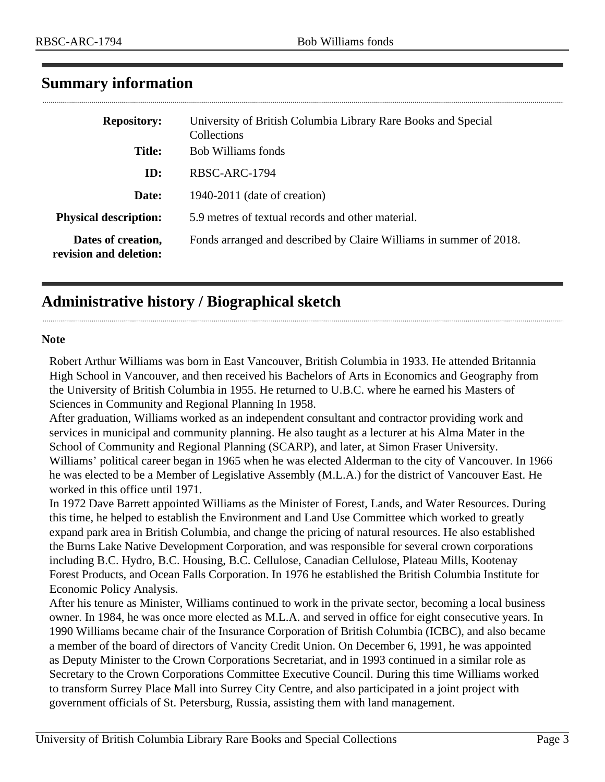| <b>Repository:</b>                           | University of British Columbia Library Rare Books and Special<br>Collections |
|----------------------------------------------|------------------------------------------------------------------------------|
| <b>Title:</b>                                | <b>Bob Williams fonds</b>                                                    |
| ID:                                          | RBSC-ARC-1794                                                                |
| Date:                                        | 1940-2011 (date of creation)                                                 |
| <b>Physical description:</b>                 | 5.9 metres of textual records and other material.                            |
| Dates of creation,<br>revision and deletion: | Fonds arranged and described by Claire Williams in summer of 2018.           |

# <span id="page-2-0"></span>**Summary information**

# <span id="page-2-1"></span>**Administrative history / Biographical sketch**

### **Note**

Robert Arthur Williams was born in East Vancouver, British Columbia in 1933. He attended Britannia High School in Vancouver, and then received his Bachelors of Arts in Economics and Geography from the University of British Columbia in 1955. He returned to U.B.C. where he earned his Masters of Sciences in Community and Regional Planning In 1958.

After graduation, Williams worked as an independent consultant and contractor providing work and services in municipal and community planning. He also taught as a lecturer at his Alma Mater in the School of Community and Regional Planning (SCARP), and later, at Simon Fraser University. Williams' political career began in 1965 when he was elected Alderman to the city of Vancouver. In 1966 he was elected to be a Member of Legislative Assembly (M.L.A.) for the district of Vancouver East. He worked in this office until 1971.

In 1972 Dave Barrett appointed Williams as the Minister of Forest, Lands, and Water Resources. During this time, he helped to establish the Environment and Land Use Committee which worked to greatly expand park area in British Columbia, and change the pricing of natural resources. He also established the Burns Lake Native Development Corporation, and was responsible for several crown corporations including B.C. Hydro, B.C. Housing, B.C. Cellulose, Canadian Cellulose, Plateau Mills, Kootenay Forest Products, and Ocean Falls Corporation. In 1976 he established the British Columbia Institute for Economic Policy Analysis.

After his tenure as Minister, Williams continued to work in the private sector, becoming a local business owner. In 1984, he was once more elected as M.L.A. and served in office for eight consecutive years. In 1990 Williams became chair of the Insurance Corporation of British Columbia (ICBC), and also became a member of the board of directors of Vancity Credit Union. On December 6, 1991, he was appointed as Deputy Minister to the Crown Corporations Secretariat, and in 1993 continued in a similar role as Secretary to the Crown Corporations Committee Executive Council. During this time Williams worked to transform Surrey Place Mall into Surrey City Centre, and also participated in a joint project with government officials of St. Petersburg, Russia, assisting them with land management.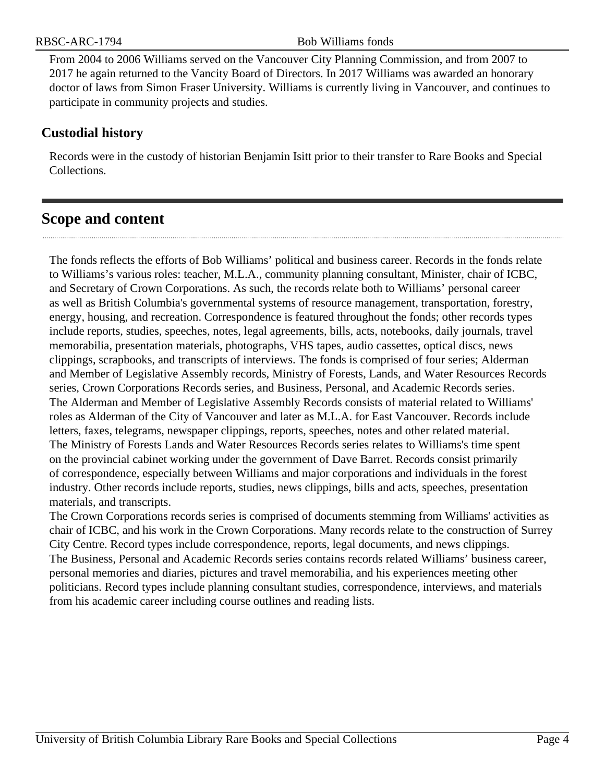From 2004 to 2006 Williams served on the Vancouver City Planning Commission, and from 2007 to 2017 he again returned to the Vancity Board of Directors. In 2017 Williams was awarded an honorary doctor of laws from Simon Fraser University. Williams is currently living in Vancouver, and continues to participate in community projects and studies.

# **Custodial history**

Records were in the custody of historian Benjamin Isitt prior to their transfer to Rare Books and Special Collections.

# <span id="page-3-0"></span>**Scope and content**

The fonds reflects the efforts of Bob Williams' political and business career. Records in the fonds relate to Williams's various roles: teacher, M.L.A., community planning consultant, Minister, chair of ICBC, and Secretary of Crown Corporations. As such, the records relate both to Williams' personal career as well as British Columbia's governmental systems of resource management, transportation, forestry, energy, housing, and recreation. Correspondence is featured throughout the fonds; other records types include reports, studies, speeches, notes, legal agreements, bills, acts, notebooks, daily journals, travel memorabilia, presentation materials, photographs, VHS tapes, audio cassettes, optical discs, news clippings, scrapbooks, and transcripts of interviews. The fonds is comprised of four series; Alderman and Member of Legislative Assembly records, Ministry of Forests, Lands, and Water Resources Records series, Crown Corporations Records series, and Business, Personal, and Academic Records series. The Alderman and Member of Legislative Assembly Records consists of material related to Williams' roles as Alderman of the City of Vancouver and later as M.L.A. for East Vancouver. Records include letters, faxes, telegrams, newspaper clippings, reports, speeches, notes and other related material. The Ministry of Forests Lands and Water Resources Records series relates to Williams's time spent on the provincial cabinet working under the government of Dave Barret. Records consist primarily of correspondence, especially between Williams and major corporations and individuals in the forest industry. Other records include reports, studies, news clippings, bills and acts, speeches, presentation materials, and transcripts.

The Crown Corporations records series is comprised of documents stemming from Williams' activities as chair of ICBC, and his work in the Crown Corporations. Many records relate to the construction of Surrey City Centre. Record types include correspondence, reports, legal documents, and news clippings. The Business, Personal and Academic Records series contains records related Williams' business career, personal memories and diaries, pictures and travel memorabilia, and his experiences meeting other politicians. Record types include planning consultant studies, correspondence, interviews, and materials from his academic career including course outlines and reading lists.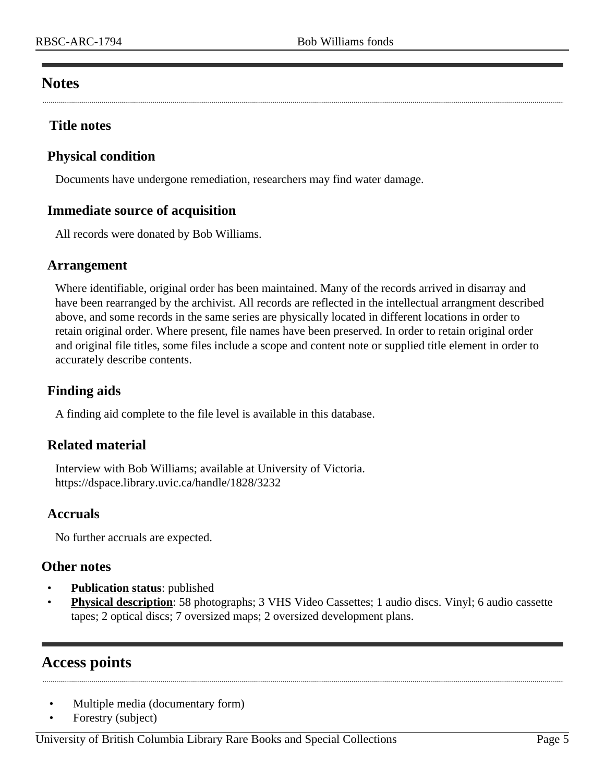# <span id="page-4-1"></span>**Notes**

# **Title notes**

# <span id="page-4-3"></span>**Physical condition**

Documents have undergone remediation, researchers may find water damage.

# **Immediate source of acquisition**

All records were donated by Bob Williams.

## <span id="page-4-0"></span>**Arrangement**

Where identifiable, original order has been maintained. Many of the records arrived in disarray and have been rearranged by the archivist. All records are reflected in the intellectual arrangment described above, and some records in the same series are physically located in different locations in order to retain original order. Where present, file names have been preserved. In order to retain original order and original file titles, some files include a scope and content note or supplied title element in order to accurately describe contents.

# **Finding aids**

A finding aid complete to the file level is available in this database.

## **Related material**

Interview with Bob Williams; available at University of Victoria. https://dspace.library.uvic.ca/handle/1828/3232

## **Accruals**

No further accruals are expected.

## **Other notes**

- **Publication status:** published
- **Physical description**: 58 photographs; 3 VHS Video Cassettes; 1 audio discs. Vinyl; 6 audio cassette tapes; 2 optical discs; 7 oversized maps; 2 oversized development plans.

# <span id="page-4-2"></span>**Access points**

- Multiple media (documentary form)
- Forestry (subject)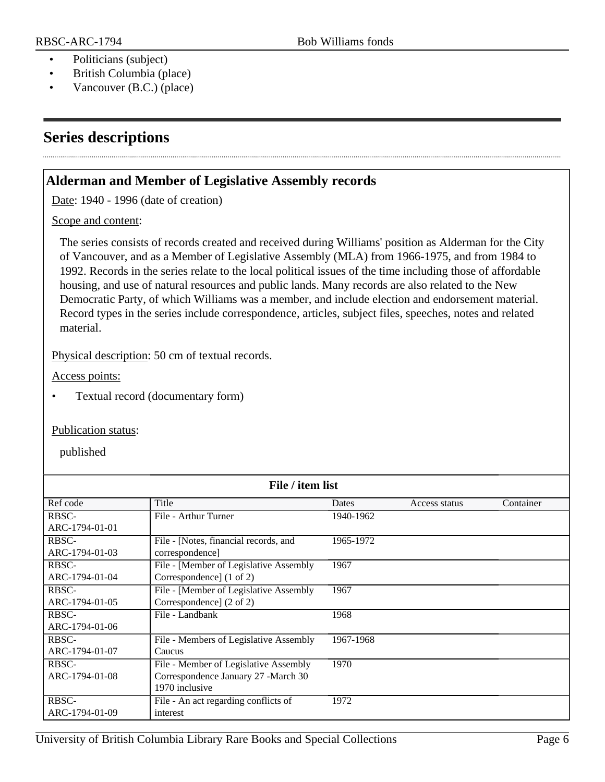- Politicians (subject)
- British Columbia (place)
- Vancouver (B.C.) (place)

# <span id="page-5-0"></span>**Series descriptions**

# <span id="page-5-1"></span>**Alderman and Member of Legislative Assembly records**

Date: 1940 - 1996 (date of creation)

### Scope and content:

The series consists of records created and received during Williams' position as Alderman for the City of Vancouver, and as a Member of Legislative Assembly (MLA) from 1966-1975, and from 1984 to 1992. Records in the series relate to the local political issues of the time including those of affordable housing, and use of natural resources and public lands. Many records are also related to the New Democratic Party, of which Williams was a member, and include election and endorsement material. Record types in the series include correspondence, articles, subject files, speeches, notes and related material.

Physical description: 50 cm of textual records.

Access points:

• Textual record (documentary form)

### Publication status:

published

| File / item list |                                        |           |               |           |
|------------------|----------------------------------------|-----------|---------------|-----------|
| Ref code         | Title                                  | Dates     | Access status | Container |
| RBSC-            | File - Arthur Turner                   | 1940-1962 |               |           |
| ARC-1794-01-01   |                                        |           |               |           |
| RBSC-            | File - [Notes, financial records, and  | 1965-1972 |               |           |
| ARC-1794-01-03   | correspondence]                        |           |               |           |
| RBSC-            | File - [Member of Legislative Assembly | 1967      |               |           |
| ARC-1794-01-04   | Correspondence] (1 of 2)               |           |               |           |
| RBSC-            | File - [Member of Legislative Assembly | 1967      |               |           |
| ARC-1794-01-05   | Correspondence] (2 of 2)               |           |               |           |
| RBSC-            | File - Landbank                        | 1968      |               |           |
| ARC-1794-01-06   |                                        |           |               |           |
| RBSC-            | File - Members of Legislative Assembly | 1967-1968 |               |           |
| ARC-1794-01-07   | Caucus                                 |           |               |           |
| RBSC-            | File - Member of Legislative Assembly  | 1970      |               |           |
| ARC-1794-01-08   | Correspondence January 27 -March 30    |           |               |           |
|                  | 1970 inclusive                         |           |               |           |
| RBSC-            | File - An act regarding conflicts of   | 1972      |               |           |
| ARC-1794-01-09   | interest                               |           |               |           |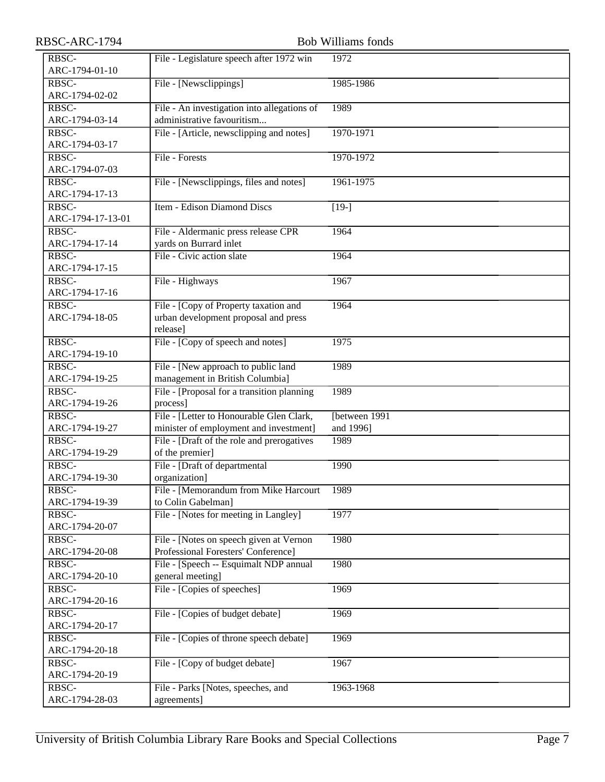| RBSC-ARC-1794              |                                                                                           | <b>Bob Williams fonds</b>   |
|----------------------------|-------------------------------------------------------------------------------------------|-----------------------------|
| RBSC-<br>ARC-1794-01-10    | File - Legislature speech after 1972 win                                                  | 1972                        |
| RBSC-<br>ARC-1794-02-02    | File - [Newsclippings]                                                                    | 1985-1986                   |
| RBSC-<br>ARC-1794-03-14    | File - An investigation into allegations of<br>administrative favouritism                 | 1989                        |
| RBSC-<br>ARC-1794-03-17    | File - [Article, newsclipping and notes]                                                  | 1970-1971                   |
| RBSC-<br>ARC-1794-07-03    | File - Forests                                                                            | 1970-1972                   |
| RBSC-<br>ARC-1794-17-13    | File - [Newsclippings, files and notes]                                                   | 1961-1975                   |
| RBSC-<br>ARC-1794-17-13-01 | Item - Edison Diamond Discs                                                               | $[19-]$                     |
| RBSC-<br>ARC-1794-17-14    | File - Aldermanic press release CPR<br>yards on Burrard inlet                             | 1964                        |
| RBSC-<br>ARC-1794-17-15    | File - Civic action slate                                                                 | 1964                        |
| RBSC-<br>ARC-1794-17-16    | File - Highways                                                                           | 1967                        |
| RBSC-<br>ARC-1794-18-05    | File - [Copy of Property taxation and<br>urban development proposal and press<br>release] | 1964                        |
| RBSC-<br>ARC-1794-19-10    | File - [Copy of speech and notes]                                                         | 1975                        |
| RBSC-<br>ARC-1794-19-25    | File - [New approach to public land<br>management in British Columbia]                    | 1989                        |
| RBSC-<br>ARC-1794-19-26    | File - [Proposal for a transition planning<br>process]                                    | 1989                        |
| RBSC-<br>ARC-1794-19-27    | File - [Letter to Honourable Glen Clark,<br>minister of employment and investment]        | [between 1991]<br>and 1996] |
| RBSC-<br>ARC-1794-19-29    | File - [Draft of the role and prerogatives<br>of the premier]                             | 1989                        |
| RBSC-<br>ARC-1794-19-30    | File - [Draft of departmental<br>organization]                                            | 1990                        |
| RBSC-<br>ARC-1794-19-39    | File - [Memorandum from Mike Harcourt<br>to Colin Gabelman]                               | 1989                        |
| RBSC-<br>ARC-1794-20-07    | File - [Notes for meeting in Langley]                                                     | 1977                        |
| RBSC-<br>ARC-1794-20-08    | File - [Notes on speech given at Vernon<br>Professional Foresters' Conference]            | 1980                        |
| RBSC-<br>ARC-1794-20-10    | File - [Speech -- Esquimalt NDP annual<br>general meeting]                                | 1980                        |
| RBSC-<br>ARC-1794-20-16    | File - [Copies of speeches]                                                               | 1969                        |
| RBSC-<br>ARC-1794-20-17    | File - [Copies of budget debate]                                                          | 1969                        |
| RBSC-<br>ARC-1794-20-18    | File - [Copies of throne speech debate]                                                   | 1969                        |
| RBSC-<br>ARC-1794-20-19    | File - [Copy of budget debate]                                                            | 1967                        |
| RBSC-<br>ARC-1794-28-03    | File - Parks [Notes, speeches, and<br>agreements]                                         | 1963-1968                   |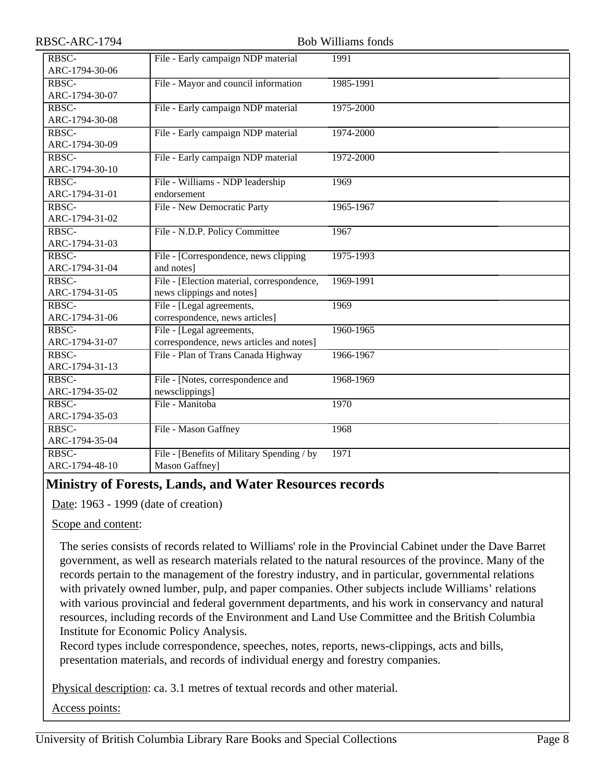| RBSC-ARC-1794           | <b>Bob Williams fonds</b>                                               |           |
|-------------------------|-------------------------------------------------------------------------|-----------|
| RBSC-<br>ARC-1794-30-06 | File - Early campaign NDP material                                      | 1991      |
| RBSC-<br>ARC-1794-30-07 | File - Mayor and council information                                    | 1985-1991 |
| RBSC-<br>ARC-1794-30-08 | File - Early campaign NDP material                                      | 1975-2000 |
| RBSC-<br>ARC-1794-30-09 | File - Early campaign NDP material                                      | 1974-2000 |
| RBSC-<br>ARC-1794-30-10 | File - Early campaign NDP material                                      | 1972-2000 |
| RBSC-<br>ARC-1794-31-01 | File - Williams - NDP leadership<br>endorsement                         | 1969      |
| RBSC-<br>ARC-1794-31-02 | File - New Democratic Party                                             | 1965-1967 |
| RBSC-<br>ARC-1794-31-03 | File - N.D.P. Policy Committee                                          | 1967      |
| RBSC-<br>ARC-1794-31-04 | File - [Correspondence, news clipping<br>and notes]                     | 1975-1993 |
| RBSC-<br>ARC-1794-31-05 | File - [Election material, correspondence,<br>news clippings and notes] | 1969-1991 |
| RBSC-<br>ARC-1794-31-06 | File - [Legal agreements,<br>correspondence, news articles]             | 1969      |
| RBSC-<br>ARC-1794-31-07 | File - [Legal agreements,<br>correspondence, news articles and notes]   | 1960-1965 |
| RBSC-<br>ARC-1794-31-13 | File - Plan of Trans Canada Highway                                     | 1966-1967 |
| RBSC-<br>ARC-1794-35-02 | File - [Notes, correspondence and<br>newsclippings]                     | 1968-1969 |
| RBSC-<br>ARC-1794-35-03 | File - Manitoba                                                         | 1970      |
| RBSC-<br>ARC-1794-35-04 | File - Mason Gaffney                                                    | 1968      |
| RBSC-<br>ARC-1794-48-10 | File - [Benefits of Military Spending / by<br>Mason Gaffney]            | 1971      |

# <span id="page-7-0"></span>**Ministry of Forests, Lands, and Water Resources records**

Date: 1963 - 1999 (date of creation)

Scope and content:

The series consists of records related to Williams' role in the Provincial Cabinet under the Dave Barret government, as well as research materials related to the natural resources of the province. Many of the records pertain to the management of the forestry industry, and in particular, governmental relations with privately owned lumber, pulp, and paper companies. Other subjects include Williams' relations with various provincial and federal government departments, and his work in conservancy and natural resources, including records of the Environment and Land Use Committee and the British Columbia Institute for Economic Policy Analysis.

Record types include correspondence, speeches, notes, reports, news-clippings, acts and bills, presentation materials, and records of individual energy and forestry companies.

Physical description: ca. 3.1 metres of textual records and other material.

Access points: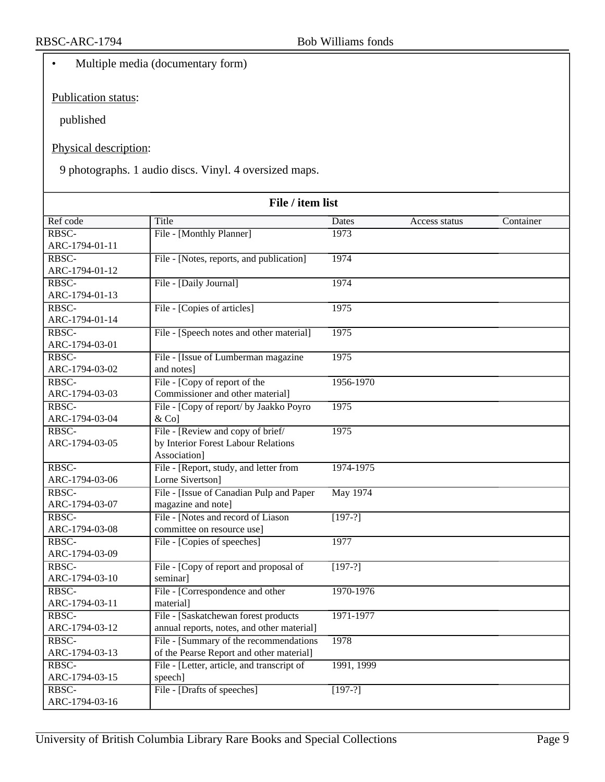• Multiple media (documentary form)

Publication status:

published

Physical description:

9 photographs. 1 audio discs. Vinyl. 4 oversized maps.

| File / item list |                                                        |            |               |           |
|------------------|--------------------------------------------------------|------------|---------------|-----------|
| Ref code         | Title                                                  | Dates      | Access status | Container |
| RBSC-            | File - [Monthly Planner]                               | 1973       |               |           |
| ARC-1794-01-11   |                                                        |            |               |           |
| RBSC-            | File - [Notes, reports, and publication]               | 1974       |               |           |
| ARC-1794-01-12   |                                                        |            |               |           |
| RBSC-            | File - [Daily Journal]                                 | 1974       |               |           |
| ARC-1794-01-13   |                                                        |            |               |           |
| RBSC-            | File - [Copies of articles]                            | 1975       |               |           |
| ARC-1794-01-14   |                                                        |            |               |           |
| RBSC-            | File - [Speech notes and other material]               | 1975       |               |           |
| ARC-1794-03-01   |                                                        |            |               |           |
| RBSC-            | File - [Issue of Lumberman magazine                    | 1975       |               |           |
| ARC-1794-03-02   | and notes]                                             |            |               |           |
| RBSC-            | File - [Copy of report of the                          | 1956-1970  |               |           |
| ARC-1794-03-03   | Commissioner and other material]                       |            |               |           |
| RBSC-            | File - [Copy of report/ by Jaakko Poyro                | 1975       |               |           |
| ARC-1794-03-04   | $&$ Co]                                                |            |               |           |
| RBSC-            | File - [Review and copy of brief/                      | 1975       |               |           |
| ARC-1794-03-05   | by Interior Forest Labour Relations                    |            |               |           |
| RBSC-            | Association]<br>File - [Report, study, and letter from | 1974-1975  |               |           |
| ARC-1794-03-06   | Lorne Sivertson]                                       |            |               |           |
| RBSC-            | File - [Issue of Canadian Pulp and Paper               | May 1974   |               |           |
| ARC-1794-03-07   | magazine and note]                                     |            |               |           |
| RBSC-            | File - [Notes and record of Liason]                    | $[197-?]$  |               |           |
| ARC-1794-03-08   | committee on resource use]                             |            |               |           |
| RBSC-            | File - [Copies of speeches]                            | 1977       |               |           |
| ARC-1794-03-09   |                                                        |            |               |           |
| RBSC-            | File - [Copy of report and proposal of                 | $[197-?]$  |               |           |
| ARC-1794-03-10   | seminar]                                               |            |               |           |
| RBSC-            | File - [Correspondence and other                       | 1970-1976  |               |           |
| ARC-1794-03-11   | material]                                              |            |               |           |
| RBSC-            | File - [Saskatchewan forest products                   | 1971-1977  |               |           |
| ARC-1794-03-12   | annual reports, notes, and other material]             |            |               |           |
| RBSC-            | File - [Summary of the recommendations]                | 1978       |               |           |
| ARC-1794-03-13   | of the Pearse Report and other material]               |            |               |           |
| RBSC-            | File - [Letter, article, and transcript of             | 1991, 1999 |               |           |
| ARC-1794-03-15   | speech]                                                |            |               |           |
| RBSC-            | File - [Drafts of speeches]                            | $[197-?]$  |               |           |
| ARC-1794-03-16   |                                                        |            |               |           |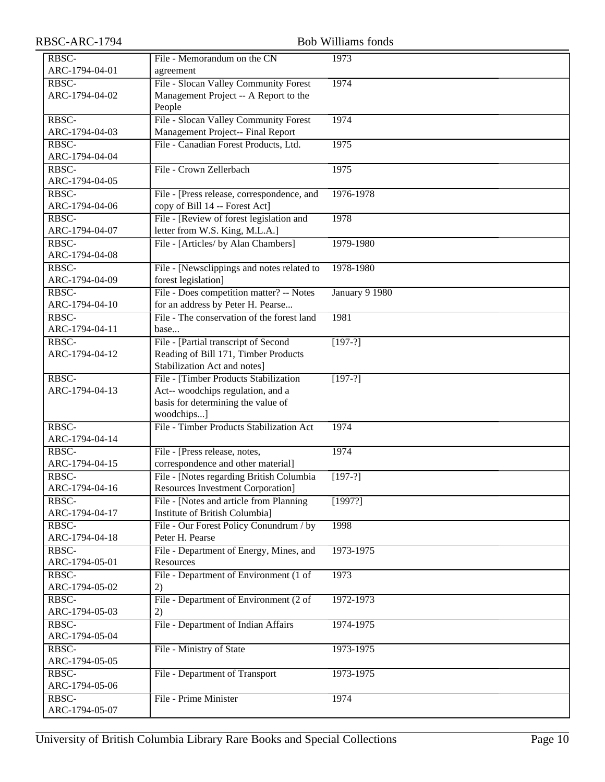| RBSC-ARC-1794  | <b>Bob Williams fonds</b>                                            |                |
|----------------|----------------------------------------------------------------------|----------------|
| RBSC-          | File - Memorandum on the CN                                          | 1973           |
| ARC-1794-04-01 | agreement                                                            |                |
| RBSC-          | File - Slocan Valley Community Forest                                | 1974           |
| ARC-1794-04-02 | Management Project -- A Report to the                                |                |
|                | People                                                               |                |
| RBSC-          | File - Slocan Valley Community Forest                                | 1974           |
| ARC-1794-04-03 | Management Project-- Final Report                                    |                |
| RBSC-          | File - Canadian Forest Products, Ltd.                                | 1975           |
| ARC-1794-04-04 |                                                                      |                |
| RBSC-          | File - Crown Zellerbach                                              | 1975           |
| ARC-1794-04-05 |                                                                      |                |
| RBSC-          | File - [Press release, correspondence, and                           | 1976-1978      |
| ARC-1794-04-06 | copy of Bill 14 -- Forest Act]                                       |                |
| RBSC-          | File - [Review of forest legislation and                             | 1978           |
| ARC-1794-04-07 | letter from W.S. King, M.L.A.]                                       |                |
| RBSC-          | File - [Articles/ by Alan Chambers]                                  | 1979-1980      |
| ARC-1794-04-08 |                                                                      |                |
| RBSC-          | File - [Newsclippings and notes related to                           | 1978-1980      |
| ARC-1794-04-09 | forest legislation]                                                  |                |
| RBSC-          | File - Does competition matter? -- Notes                             | January 9 1980 |
| ARC-1794-04-10 | for an address by Peter H. Pearse                                    |                |
| RBSC-          | File - The conservation of the forest land                           | 1981           |
| ARC-1794-04-11 | base                                                                 |                |
| RBSC-          | File - [Partial transcript of Second                                 | $[197-?]$      |
| ARC-1794-04-12 | Reading of Bill 171, Timber Products<br>Stabilization Act and notes] |                |
| RBSC-          | File - [Timber Products Stabilization                                |                |
| ARC-1794-04-13 | Act-- woodchips regulation, and a                                    | $[197-?]$      |
|                | basis for determining the value of                                   |                |
|                | woodchips]                                                           |                |
| RBSC-          | File - Timber Products Stabilization Act                             | 1974           |
| ARC-1794-04-14 |                                                                      |                |
| RBSC-          | File - [Press release, notes,                                        | 1974           |
| ARC-1794-04-15 | correspondence and other material]                                   |                |
| RBSC-          | File - [Notes regarding British Columbia                             | $[197-?]$      |
| ARC-1794-04-16 | <b>Resources Investment Corporation]</b>                             |                |
| RBSC-          | File - [Notes and article from Planning]                             | [1997?]        |
| ARC-1794-04-17 | Institute of British Columbia]                                       |                |
| RBSC-          | File - Our Forest Policy Conundrum / by                              | 1998           |
| ARC-1794-04-18 | Peter H. Pearse                                                      |                |
| RBSC-          | File - Department of Energy, Mines, and                              | 1973-1975      |
| ARC-1794-05-01 | Resources                                                            |                |
| RBSC-          | File - Department of Environment (1 of                               | 1973           |
| ARC-1794-05-02 | 2)                                                                   |                |
| RBSC-          | File - Department of Environment (2 of                               | 1972-1973      |
| ARC-1794-05-03 | 2)                                                                   |                |
| RBSC-          | File - Department of Indian Affairs                                  | 1974-1975      |
| ARC-1794-05-04 |                                                                      |                |
| RBSC-          | File - Ministry of State                                             | 1973-1975      |
| ARC-1794-05-05 |                                                                      |                |
| RBSC-          | File - Department of Transport                                       | 1973-1975      |
| ARC-1794-05-06 |                                                                      |                |
| RBSC-          | File - Prime Minister                                                | 1974           |
| ARC-1794-05-07 |                                                                      |                |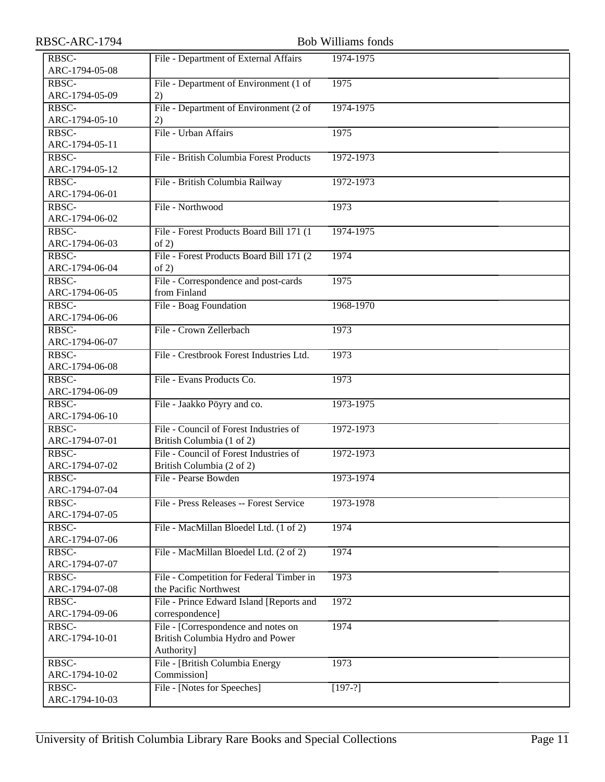| RBSC-ARC-1794           |                                                                   | <b>Bob Williams fonds</b> |
|-------------------------|-------------------------------------------------------------------|---------------------------|
| RBSC-                   | File - Department of External Affairs                             | 1974-1975                 |
| ARC-1794-05-08          |                                                                   |                           |
| RBSC-                   | File - Department of Environment (1 of                            | 1975                      |
| ARC-1794-05-09          | 2)                                                                |                           |
| RBSC-                   | File - Department of Environment (2 of                            | 1974-1975                 |
| ARC-1794-05-10          | 2)                                                                |                           |
| RBSC-                   | File - Urban Affairs                                              | 1975                      |
| ARC-1794-05-11          |                                                                   |                           |
| RBSC-                   | File - British Columbia Forest Products                           | 1972-1973                 |
| ARC-1794-05-12          |                                                                   |                           |
| RBSC-                   | File - British Columbia Railway                                   | 1972-1973                 |
| ARC-1794-06-01          |                                                                   |                           |
| RBSC-                   | File - Northwood                                                  | 1973                      |
| ARC-1794-06-02          |                                                                   |                           |
| RBSC-                   | File - Forest Products Board Bill 171 (1)                         | 1974-1975                 |
| ARC-1794-06-03          | of 2)                                                             |                           |
| RBSC-                   |                                                                   | 1974                      |
| ARC-1794-06-04          | File - Forest Products Board Bill 171 (2)<br>of 2)                |                           |
|                         |                                                                   |                           |
| RBSC-<br>ARC-1794-06-05 | File - Correspondence and post-cards<br>from Finland              | 1975                      |
| RBSC-                   |                                                                   |                           |
| ARC-1794-06-06          | File - Boag Foundation                                            | 1968-1970                 |
|                         |                                                                   |                           |
| RBSC-                   | File - Crown Zellerbach                                           | 1973                      |
| ARC-1794-06-07          |                                                                   |                           |
| RBSC-                   | File - Crestbrook Forest Industries Ltd.                          | 1973                      |
| ARC-1794-06-08          |                                                                   |                           |
| RBSC-                   | File - Evans Products Co.                                         | 1973                      |
| ARC-1794-06-09          |                                                                   |                           |
| RBSC-                   | File - Jaakko Pöyry and co.                                       | 1973-1975                 |
| ARC-1794-06-10          |                                                                   |                           |
| RBSC-                   | File - Council of Forest Industries of                            | 1972-1973                 |
| ARC-1794-07-01          | British Columbia (1 of 2)                                         |                           |
| RBSC-                   | File - Council of Forest Industries of                            | 1972-1973                 |
| ARC-1794-07-02          | British Columbia (2 of 2)                                         |                           |
| RBSC-                   | File - Pearse Bowden                                              | 1973-1974                 |
| ARC-1794-07-04          |                                                                   |                           |
| RBSC-                   | File - Press Releases -- Forest Service                           | 1973-1978                 |
| ARC-1794-07-05          |                                                                   |                           |
| RBSC-                   | File - MacMillan Bloedel Ltd. (1 of 2)                            | 1974                      |
| ARC-1794-07-06          |                                                                   |                           |
| RBSC-                   | File - MacMillan Bloedel Ltd. (2 of 2)                            | 1974                      |
| ARC-1794-07-07          |                                                                   |                           |
| RBSC-                   | File - Competition for Federal Timber in<br>the Pacific Northwest | 1973                      |
| ARC-1794-07-08          |                                                                   |                           |
| RBSC-                   | File - Prince Edward Island [Reports and                          | 1972                      |
| ARC-1794-09-06          | correspondence]                                                   |                           |
| RBSC-                   | File - [Correspondence and notes on                               | 1974                      |
| ARC-1794-10-01          | British Columbia Hydro and Power                                  |                           |
|                         | Authority]                                                        |                           |
| RBSC-                   | File - [British Columbia Energy                                   | 1973                      |
| ARC-1794-10-02          | Commission]                                                       |                           |
| RBSC-                   | File - [Notes for Speeches]                                       | $[197-?]$                 |
| ARC-1794-10-03          |                                                                   |                           |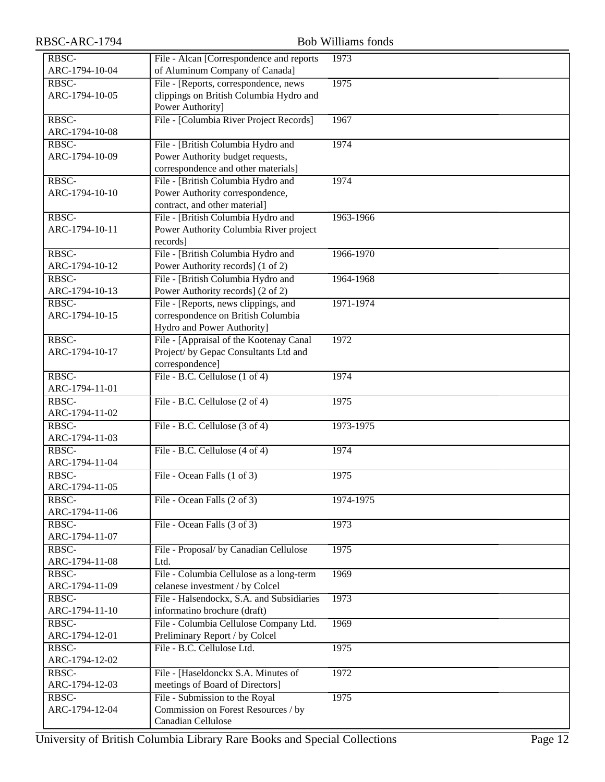| RBSC-ARC-1794           |                                                                                                               | <b>Bob Williams fonds</b> |
|-------------------------|---------------------------------------------------------------------------------------------------------------|---------------------------|
| RBSC-<br>ARC-1794-10-04 | File - Alcan [Correspondence and reports<br>of Aluminum Company of Canada]                                    | 1973                      |
| RBSC-<br>ARC-1794-10-05 | File - [Reports, correspondence, news<br>clippings on British Columbia Hydro and<br>Power Authority]          | 1975                      |
| RBSC-<br>ARC-1794-10-08 | File - [Columbia River Project Records]                                                                       | 1967                      |
| RBSC-<br>ARC-1794-10-09 | File - [British Columbia Hydro and<br>Power Authority budget requests,<br>correspondence and other materials] | 1974                      |
| RBSC-<br>ARC-1794-10-10 | File - [British Columbia Hydro and<br>Power Authority correspondence,<br>contract, and other material]        | 1974                      |
| RBSC-<br>ARC-1794-10-11 | File - [British Columbia Hydro and<br>Power Authority Columbia River project<br>records]                      | 1963-1966                 |
| RBSC-<br>ARC-1794-10-12 | File - [British Columbia Hydro and<br>Power Authority records] (1 of 2)                                       | 1966-1970                 |
| RBSC-<br>ARC-1794-10-13 | File - [British Columbia Hydro and<br>Power Authority records] (2 of 2)                                       | 1964-1968                 |
| RBSC-<br>ARC-1794-10-15 | File - [Reports, news clippings, and<br>correspondence on British Columbia<br>Hydro and Power Authority]      | 1971-1974                 |
| RBSC-<br>ARC-1794-10-17 | File - [Appraisal of the Kootenay Canal<br>Project/ by Gepac Consultants Ltd and<br>correspondence]           | 1972                      |
| RBSC-<br>ARC-1794-11-01 | File - B.C. Cellulose (1 of 4)                                                                                | 1974                      |
| RBSC-<br>ARC-1794-11-02 | File - B.C. Cellulose (2 of 4)                                                                                | 1975                      |
| RBSC-<br>ARC-1794-11-03 | File - B.C. Cellulose (3 of 4)                                                                                | 1973-1975                 |
| RBSC-<br>ARC-1794-11-04 | File - B.C. Cellulose (4 of 4)                                                                                | 1974                      |
| RBSC-<br>ARC-1794-11-05 | File - Ocean Falls (1 of 3)                                                                                   | 1975                      |
| RBSC-<br>ARC-1794-11-06 | File - Ocean Falls (2 of 3)                                                                                   | 1974-1975                 |
| RBSC-<br>ARC-1794-11-07 | File - Ocean Falls (3 of 3)                                                                                   | 1973                      |
| RBSC-<br>ARC-1794-11-08 | File - Proposal/ by Canadian Cellulose<br>Ltd.                                                                | 1975                      |
| RBSC-<br>ARC-1794-11-09 | File - Columbia Cellulose as a long-term<br>celanese investment / by Colcel                                   | 1969                      |
| RBSC-<br>ARC-1794-11-10 | File - Halsendockx, S.A. and Subsidiaries<br>informatino brochure (draft)                                     | 1973                      |
| RBSC-<br>ARC-1794-12-01 | File - Columbia Cellulose Company Ltd.<br>Preliminary Report / by Colcel                                      | 1969                      |
| RBSC-<br>ARC-1794-12-02 | File - B.C. Cellulose Ltd.                                                                                    | 1975                      |
| RBSC-<br>ARC-1794-12-03 | File - [Haseldonckx S.A. Minutes of<br>meetings of Board of Directors]                                        | 1972                      |
| RBSC-<br>ARC-1794-12-04 | File - Submission to the Royal<br>Commission on Forest Resources / by<br>Canadian Cellulose                   | 1975                      |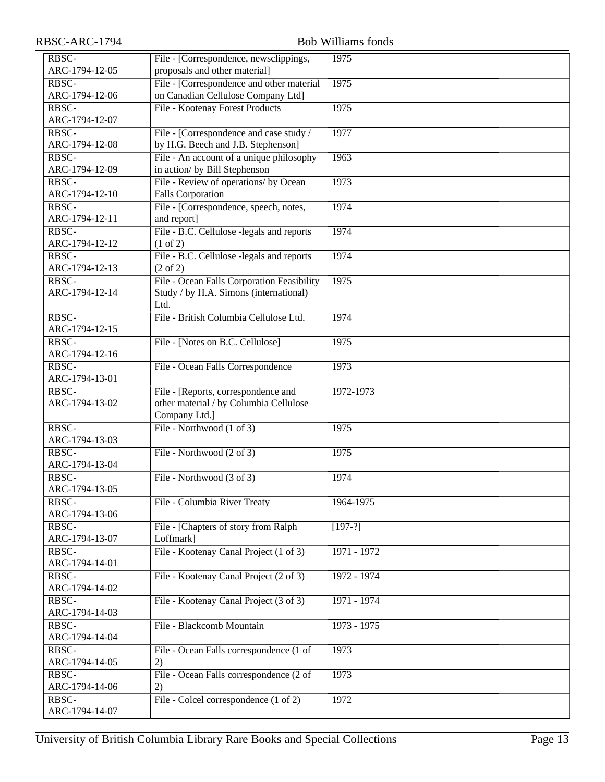| RBSC-ARC-1794           |                                             | <b>Bob Williams fonds</b> |
|-------------------------|---------------------------------------------|---------------------------|
| RBSC-                   | File - [Correspondence, newsclippings,      | 1975                      |
| ARC-1794-12-05          | proposals and other material]               |                           |
| RBSC-                   | File - [Correspondence and other material   | 1975                      |
| ARC-1794-12-06          | on Canadian Cellulose Company Ltd]          |                           |
| RBSC-                   | File - Kootenay Forest Products             | 1975                      |
| ARC-1794-12-07          |                                             |                           |
| RBSC-                   | File - [Correspondence and case study /     | 1977                      |
| ARC-1794-12-08          | by H.G. Beech and J.B. Stephenson]          |                           |
| RBSC-                   | File - An account of a unique philosophy    | 1963                      |
| ARC-1794-12-09          | in action/ by Bill Stephenson               |                           |
| RBSC-                   | File - Review of operations/ by Ocean       | 1973                      |
| ARC-1794-12-10          | <b>Falls Corporation</b>                    |                           |
| RBSC-                   | File - [Correspondence, speech, notes,      | 1974                      |
| ARC-1794-12-11          | and report]                                 |                           |
| RBSC-                   | File - B.C. Cellulose -legals and reports   | 1974                      |
| ARC-1794-12-12          | (1 of 2)                                    |                           |
| RBSC-                   | File - B.C. Cellulose -legals and reports   | 1974                      |
| ARC-1794-12-13          | $(2 \text{ of } 2)$                         |                           |
| RBSC-                   | File - Ocean Falls Corporation Feasibility  | 1975                      |
| ARC-1794-12-14          | Study / by H.A. Simons (international)      |                           |
|                         | Ltd.                                        |                           |
| RBSC-                   | File - British Columbia Cellulose Ltd.      | 1974                      |
| ARC-1794-12-15          |                                             |                           |
| RBSC-                   | File - [Notes on B.C. Cellulose]            | 1975                      |
| ARC-1794-12-16          |                                             |                           |
| RBSC-                   | File - Ocean Falls Correspondence           | 1973                      |
| ARC-1794-13-01          |                                             |                           |
| RBSC-                   | File - [Reports, correspondence and         | 1972-1973                 |
| ARC-1794-13-02          | other material / by Columbia Cellulose      |                           |
|                         | Company Ltd.]                               |                           |
| RBSC-                   | File - Northwood (1 of 3)                   | 1975                      |
| ARC-1794-13-03          |                                             |                           |
| RBSC-                   | File - Northwood (2 of 3)                   | 1975                      |
| ARC-1794-13-04          |                                             |                           |
| RBSC-                   | File - Northwood $(3 \text{ of } 3)$        | 1974                      |
| ARC-1794-13-05          |                                             |                           |
| RBSC-                   | File - Columbia River Treaty                | 1964-1975                 |
| ARC-1794-13-06          |                                             |                           |
| RBSC-                   | File - [Chapters of story from Ralph        | $[197-?]$                 |
| ARC-1794-13-07          | Loffmark]                                   |                           |
| RBSC-                   | File - Kootenay Canal Project (1 of 3)      | 1971 - 1972               |
| ARC-1794-14-01          |                                             |                           |
| RBSC-                   | File - Kootenay Canal Project (2 of 3)      | 1972 - 1974               |
| ARC-1794-14-02          |                                             |                           |
| RBSC-                   | File - Kootenay Canal Project (3 of 3)      | $1971 - 1974$             |
| ARC-1794-14-03          |                                             |                           |
| RBSC-                   | File - Blackcomb Mountain                   | $1973 - 1975$             |
| ARC-1794-14-04          |                                             |                           |
| RBSC-<br>ARC-1794-14-05 | File - Ocean Falls correspondence (1 of     | 1973                      |
| RBSC-                   | 2)                                          | 1973                      |
| ARC-1794-14-06          | File - Ocean Falls correspondence (2 of     |                           |
| RBSC-                   | 2)<br>File - Colcel correspondence (1 of 2) | 1972                      |
| ARC-1794-14-07          |                                             |                           |
|                         |                                             |                           |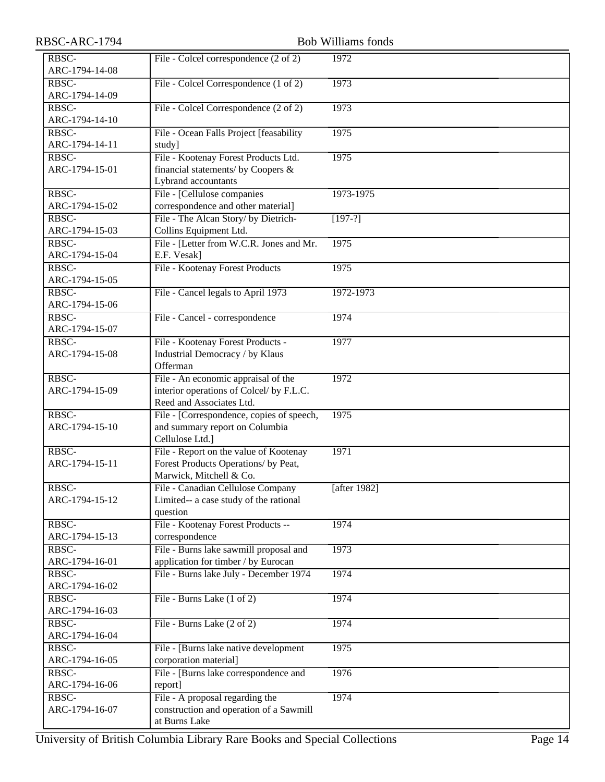| RBSC-ARC-1794 |
|---------------|
|---------------|

| RBSC-ARC-1794           |                                                                                                             | <b>Bob Williams fonds</b> |
|-------------------------|-------------------------------------------------------------------------------------------------------------|---------------------------|
| RBSC-<br>ARC-1794-14-08 | File - Colcel correspondence (2 of 2)                                                                       | 1972                      |
| RBSC-<br>ARC-1794-14-09 | File - Colcel Correspondence (1 of 2)                                                                       | 1973                      |
| RBSC-<br>ARC-1794-14-10 | File - Colcel Correspondence (2 of 2)                                                                       | 1973                      |
| RBSC-<br>ARC-1794-14-11 | File - Ocean Falls Project [feasability<br>study]                                                           | 1975                      |
| RBSC-<br>ARC-1794-15-01 | File - Kootenay Forest Products Ltd.<br>financial statements/ by Coopers &<br>Lybrand accountants           | 1975                      |
| RBSC-<br>ARC-1794-15-02 | File - [Cellulose companies<br>correspondence and other material]                                           | 1973-1975                 |
| RBSC-<br>ARC-1794-15-03 | File - The Alcan Story/ by Dietrich-<br>Collins Equipment Ltd.                                              | $[197-?]$                 |
| RBSC-<br>ARC-1794-15-04 | File - [Letter from W.C.R. Jones and Mr.<br>E.F. Vesak]                                                     | 1975                      |
| RBSC-<br>ARC-1794-15-05 | File - Kootenay Forest Products                                                                             | 1975                      |
| RBSC-<br>ARC-1794-15-06 | File - Cancel legals to April 1973                                                                          | 1972-1973                 |
| RBSC-<br>ARC-1794-15-07 | File - Cancel - correspondence                                                                              | 1974                      |
| RBSC-<br>ARC-1794-15-08 | File - Kootenay Forest Products -<br>Industrial Democracy / by Klaus<br>Offerman                            | 1977                      |
| RBSC-<br>ARC-1794-15-09 | File - An economic appraisal of the<br>interior operations of Colcel/ by F.L.C.<br>Reed and Associates Ltd. | 1972                      |
| RBSC-<br>ARC-1794-15-10 | File - [Correspondence, copies of speech,<br>and summary report on Columbia<br>Cellulose Ltd.]              | 1975                      |
| RBSC-<br>ARC-1794-15-11 | File - Report on the value of Kootenay<br>Forest Products Operations/ by Peat,<br>Marwick, Mitchell & Co.   | 1971                      |
| RBSC-<br>ARC-1794-15-12 | File - Canadian Cellulose Company<br>Limited-- a case study of the rational<br>question                     | [after $1982$ ]           |
| RBSC-<br>ARC-1794-15-13 | File - Kootenay Forest Products --<br>correspondence                                                        | 1974                      |
| RBSC-<br>ARC-1794-16-01 | File - Burns lake sawmill proposal and<br>application for timber / by Eurocan                               | 1973                      |
| RBSC-<br>ARC-1794-16-02 | File - Burns lake July - December 1974                                                                      | 1974                      |
| RBSC-<br>ARC-1794-16-03 | File - Burns Lake (1 of 2)                                                                                  | 1974                      |
| RBSC-<br>ARC-1794-16-04 | File - Burns Lake (2 of 2)                                                                                  | 1974                      |
| RBSC-<br>ARC-1794-16-05 | File - [Burns lake native development<br>corporation material]                                              | 1975                      |
| RBSC-<br>ARC-1794-16-06 | File - [Burns lake correspondence and<br>report]                                                            | 1976                      |
| RBSC-<br>ARC-1794-16-07 | File - A proposal regarding the<br>construction and operation of a Sawmill<br>at Burns Lake                 | 1974                      |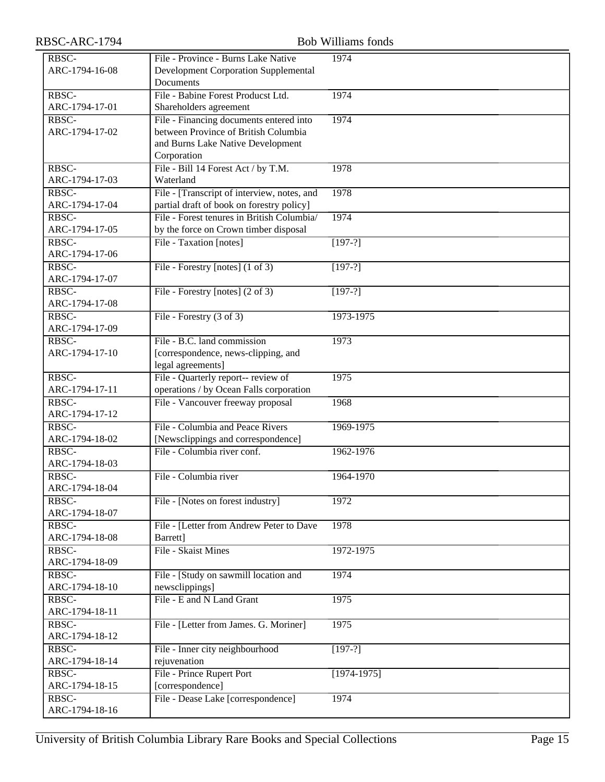| RBSC-ARC-1794           |                                             | <b>Bob Williams fonds</b> |
|-------------------------|---------------------------------------------|---------------------------|
| RBSC-                   | File - Province - Burns Lake Native         | 1974                      |
| ARC-1794-16-08          | <b>Development Corporation Supplemental</b> |                           |
|                         | Documents                                   |                           |
| RBSC-                   | File - Babine Forest Producst Ltd.          | 1974                      |
| ARC-1794-17-01          | Shareholders agreement                      |                           |
| RBSC-                   | File - Financing documents entered into     | 1974                      |
| ARC-1794-17-02          | between Province of British Columbia        |                           |
|                         | and Burns Lake Native Development           |                           |
|                         | Corporation                                 |                           |
| RBSC-                   | File - Bill 14 Forest Act / by T.M.         | 1978                      |
| ARC-1794-17-03          | Waterland                                   |                           |
| RBSC-                   | File - [Transcript of interview, notes, and | 1978                      |
| ARC-1794-17-04          | partial draft of book on forestry policy]   |                           |
| RBSC-                   | File - Forest tenures in British Columbia/  | 1974                      |
| ARC-1794-17-05          | by the force on Crown timber disposal       |                           |
| RBSC-                   | File - Taxation [notes]                     | $[197-?]$                 |
| ARC-1794-17-06          |                                             |                           |
| RBSC-                   | File - Forestry [notes] (1 of 3)            | $[197-?]$                 |
| ARC-1794-17-07          |                                             |                           |
| RBSC-                   | File - Forestry [notes] (2 of 3)            | $[197-?]$                 |
| ARC-1794-17-08          |                                             |                           |
| RBSC-                   | File - Forestry $(3 \text{ of } 3)$         | 1973-1975                 |
| ARC-1794-17-09          |                                             |                           |
| RBSC-                   | File - B.C. land commission                 | 1973                      |
| ARC-1794-17-10          | [correspondence, news-clipping, and         |                           |
|                         | legal agreements]                           |                           |
| RBSC-                   | File - Quarterly report-- review of         | 1975                      |
| ARC-1794-17-11<br>RBSC- | operations / by Ocean Falls corporation     |                           |
| ARC-1794-17-12          | File - Vancouver freeway proposal           | 1968                      |
| RBSC-                   | File - Columbia and Peace Rivers            | 1969-1975                 |
| ARC-1794-18-02          | [Newsclippings and correspondence]          |                           |
| RBSC-                   | File - Columbia river conf.                 | 1962-1976                 |
| ARC-1794-18-03          |                                             |                           |
| RBSC-                   | File - Columbia river                       | 1964-1970                 |
| ARC-1794-18-04          |                                             |                           |
| RBSC-                   | File - [Notes on forest industry]           | 1972                      |
| ARC-1794-18-07          |                                             |                           |
| RBSC-                   | File - [Letter from Andrew Peter to Dave    | 1978                      |
| ARC-1794-18-08          | Barrett]                                    |                           |
| RBSC-                   | File - Skaist Mines                         | 1972-1975                 |
| ARC-1794-18-09          |                                             |                           |
| RBSC-                   | File - [Study on sawmill location and       | 1974                      |
| ARC-1794-18-10          | newsclippings]                              |                           |
| RBSC-                   | File - E and N Land Grant                   | 1975                      |
| ARC-1794-18-11          |                                             |                           |
| RBSC-                   | File - [Letter from James. G. Moriner]      | 1975                      |
| ARC-1794-18-12          |                                             |                           |
| RBSC-                   | File - Inner city neighbourhood             | $[197-?]$                 |
| ARC-1794-18-14          | rejuvenation                                |                           |
| RBSC-                   | File - Prince Rupert Port                   | $[1974-1975]$             |
| ARC-1794-18-15          | [correspondence]                            |                           |
| RBSC-                   | File - Dease Lake [correspondence]          | 1974                      |
| ARC-1794-18-16          |                                             |                           |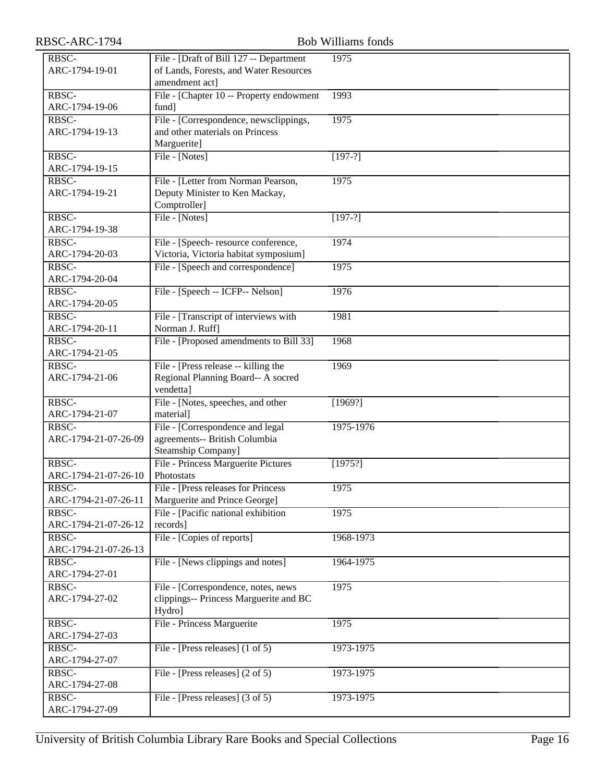| RBSC-ARC-1794                 | <b>Bob Williams fonds</b>                                         |           |
|-------------------------------|-------------------------------------------------------------------|-----------|
| RBSC-                         | File - [Draft of Bill 127 -- Department                           | 1975      |
| ARC-1794-19-01                | of Lands, Forests, and Water Resources                            |           |
|                               | amendment act]                                                    |           |
| RBSC-                         | File - [Chapter 10 -- Property endowment                          | 1993      |
| ARC-1794-19-06                | fund]                                                             |           |
| RBSC-                         | File - [Correspondence, newsclippings,                            | 1975      |
| ARC-1794-19-13                | and other materials on Princess                                   |           |
|                               | Marguerite]                                                       |           |
| RBSC-                         | File - [Notes]                                                    | $[197-?]$ |
| ARC-1794-19-15                |                                                                   |           |
| RBSC-                         | File - [Letter from Norman Pearson,                               | 1975      |
| ARC-1794-19-21                | Deputy Minister to Ken Mackay,                                    |           |
| RBSC-                         | Comptroller]                                                      |           |
| ARC-1794-19-38                | File - [Notes]                                                    | $[197-?]$ |
| RBSC-                         | File - [Speech-resource conference,                               | 1974      |
| ARC-1794-20-03                | Victoria, Victoria habitat symposium]                             |           |
| RBSC-                         | File - [Speech and correspondence]                                | 1975      |
| ARC-1794-20-04                |                                                                   |           |
| RBSC-                         | File - [Speech -- ICFP-- Nelson]                                  | 1976      |
| ARC-1794-20-05                |                                                                   |           |
| RBSC-                         | File - [Transcript of interviews with                             | 1981      |
| ARC-1794-20-11                | Norman J. Ruff]                                                   |           |
| RBSC-                         | File - [Proposed amendments to Bill 33]                           | 1968      |
| ARC-1794-21-05                |                                                                   |           |
| RBSC-                         | File - [Press release -- killing the                              | 1969      |
| ARC-1794-21-06                | Regional Planning Board-- A socred                                |           |
|                               | vendetta]                                                         |           |
| RBSC-                         | File - [Notes, speeches, and other                                | [1969?]   |
| ARC-1794-21-07                | material]                                                         |           |
| RBSC-<br>ARC-1794-21-07-26-09 | File - [Correspondence and legal<br>agreements-- British Columbia | 1975-1976 |
|                               | Steamship Company]                                                |           |
| RBSC-                         | File - Princess Marguerite Pictures                               | [1975!]   |
| ARC-1794-21-07-26-10          | Photostats                                                        |           |
| RBSC-                         | File - [Press releases for Princess                               | 1975      |
| ARC-1794-21-07-26-11          | Marguerite and Prince George]                                     |           |
| RBSC-                         | File - [Pacific national exhibition                               | 1975      |
| ARC-1794-21-07-26-12          | records]                                                          |           |
| RBSC-                         | File - [Copies of reports]                                        | 1968-1973 |
| ARC-1794-21-07-26-13          |                                                                   |           |
| RBSC-                         | File - [News clippings and notes]                                 | 1964-1975 |
| ARC-1794-27-01                |                                                                   |           |
| RBSC-                         | File - [Correspondence, notes, news]                              | 1975      |
| ARC-1794-27-02                | clippings-- Princess Marguerite and BC                            |           |
|                               | Hydro]                                                            |           |
| RBSC-<br>ARC-1794-27-03       | File - Princess Marguerite                                        | 1975      |
| RBSC-                         | File - [Press releases] (1 of 5)                                  | 1973-1975 |
| ARC-1794-27-07                |                                                                   |           |
| RBSC-                         | File - [Press releases] (2 of 5)                                  | 1973-1975 |
| ARC-1794-27-08                |                                                                   |           |
| RBSC-                         | File - [Press releases] (3 of 5)                                  | 1973-1975 |
| ARC-1794-27-09                |                                                                   |           |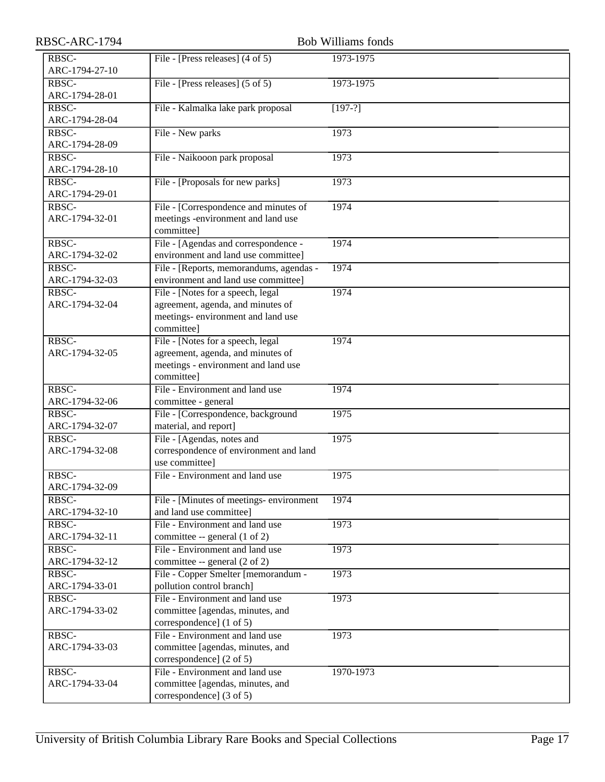| RBSC-ARC-1794                     |                                                                         | <b>Bob Williams fonds</b> |
|-----------------------------------|-------------------------------------------------------------------------|---------------------------|
| RBSC-                             | File - [Press releases] (4 of 5)                                        | 1973-1975                 |
| ARC-1794-27-10                    |                                                                         |                           |
| RBSC-                             | File - [Press releases] $(5 \text{ of } 5)$                             | 1973-1975                 |
| ARC-1794-28-01                    |                                                                         |                           |
| RBSC-                             | File - Kalmalka lake park proposal                                      | $\sqrt{197-?}$            |
| ARC-1794-28-04                    |                                                                         |                           |
| RBSC-                             | File - New parks                                                        | 1973                      |
| ARC-1794-28-09                    |                                                                         |                           |
| RBSC-                             | File - Naikooon park proposal                                           | 1973                      |
| ARC-1794-28-10                    |                                                                         |                           |
| RBSC-                             | File - [Proposals for new parks]                                        | 1973                      |
| ARC-1794-29-01                    |                                                                         |                           |
| RBSC-                             | File - [Correspondence and minutes of                                   | 1974                      |
| ARC-1794-32-01                    | meetings -environment and land use                                      |                           |
|                                   | committee]                                                              |                           |
| RBSC-                             | File - [Agendas and correspondence -                                    | 1974                      |
| ARC-1794-32-02                    | environment and land use committee]                                     |                           |
| RBSC-                             | File - [Reports, memorandums, agendas -                                 | 1974                      |
| ARC-1794-32-03                    | environment and land use committee]                                     |                           |
| RBSC-<br>ARC-1794-32-04           | File - [Notes for a speech, legal                                       | 1974                      |
|                                   | agreement, agenda, and minutes of<br>meetings- environment and land use |                           |
|                                   | committee]                                                              |                           |
| RBSC-                             | File - [Notes for a speech, legal                                       | 1974                      |
| ARC-1794-32-05                    | agreement, agenda, and minutes of                                       |                           |
|                                   | meetings - environment and land use                                     |                           |
|                                   | committee]                                                              |                           |
| RBSC-                             | File - Environment and land use                                         | 1974                      |
| ARC-1794-32-06                    | committee - general                                                     |                           |
| $R\overline{B}$ <sub>SC</sub> $-$ | File - [Correspondence, background                                      | 1975                      |
| ARC-1794-32-07                    | material, and report]                                                   |                           |
| RBSC-                             | File - [Agendas, notes and                                              | 1975                      |
| ARC-1794-32-08                    | correspondence of environment and land                                  |                           |
|                                   | use committee]                                                          |                           |
| RBSC-                             | File - Environment and land use                                         | 1975                      |
| ARC-1794-32-09                    |                                                                         |                           |
| RBSC-                             | File - [Minutes of meetings- environment                                | 1974                      |
| ARC-1794-32-10                    | and land use committee]                                                 |                           |
| RBSC-                             | File - Environment and land use                                         | 1973                      |
| ARC-1794-32-11                    | committee -- general (1 of 2)                                           |                           |
| RBSC-                             | File - Environment and land use                                         | 1973                      |
| ARC-1794-32-12                    | committee -- general (2 of 2)                                           |                           |
| RBSC-                             | File - Copper Smelter [memorandum -                                     | 1973                      |
| ARC-1794-33-01                    | pollution control branch]                                               |                           |
| RBSC-                             | File - Environment and land use                                         | 1973                      |
| ARC-1794-33-02                    | committee [agendas, minutes, and                                        |                           |
|                                   | correspondence] (1 of 5)<br>File - Environment and land use             |                           |
| RBSC-<br>ARC-1794-33-03           | committee [agendas, minutes, and                                        | 1973                      |
|                                   | correspondence] (2 of 5)                                                |                           |
| RBSC-                             | File - Environment and land use                                         | 1970-1973                 |
| ARC-1794-33-04                    | committee [agendas, minutes, and                                        |                           |
|                                   | correspondence] (3 of 5)                                                |                           |
|                                   |                                                                         |                           |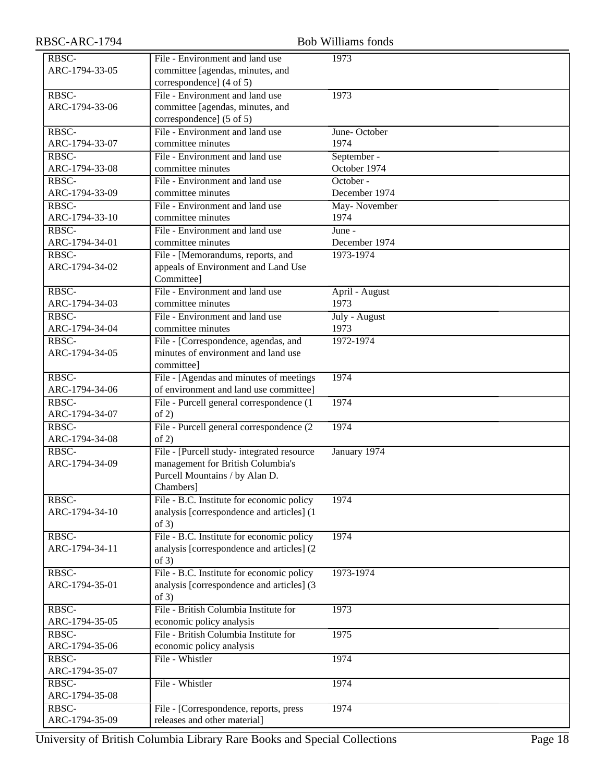| RBSC-ARC-1794           | <b>Bob Williams fonds</b>                            |                        |
|-------------------------|------------------------------------------------------|------------------------|
| RBSC-                   | File - Environment and land use                      | 1973                   |
| ARC-1794-33-05          | committee [agendas, minutes, and                     |                        |
|                         | correspondence] (4 of 5)                             |                        |
| RBSC-                   | File - Environment and land use                      | 1973                   |
| ARC-1794-33-06          | committee [agendas, minutes, and                     |                        |
|                         | correspondence] (5 of 5)                             |                        |
| RBSC-                   | File - Environment and land use                      | June-October           |
| ARC-1794-33-07          | committee minutes                                    | 1974                   |
| RBSC-                   | File - Environment and land use                      | September -            |
| ARC-1794-33-08          | committee minutes                                    | October 1974           |
| RBSC-                   | File - Environment and land use                      | October -              |
| ARC-1794-33-09          | committee minutes                                    | December 1974          |
| RBSC-                   | File - Environment and land use                      | May-November           |
| ARC-1794-33-10          | committee minutes                                    | 1974                   |
| RBSC-                   | File - Environment and land use                      | June -                 |
| ARC-1794-34-01          | committee minutes                                    | December 1974          |
| RBSC-                   | File - [Memorandums, reports, and                    | 1973-1974              |
| ARC-1794-34-02          | appeals of Environment and Land Use                  |                        |
|                         | Committee]                                           |                        |
| RBSC-<br>ARC-1794-34-03 | File - Environment and land use<br>committee minutes | April - August<br>1973 |
|                         |                                                      |                        |
| RBSC-<br>ARC-1794-34-04 | File - Environment and land use<br>committee minutes | July - August<br>1973  |
| RBSC-                   | File - [Correspondence, agendas, and                 | 1972-1974              |
| ARC-1794-34-05          | minutes of environment and land use                  |                        |
|                         | committee]                                           |                        |
| RBSC-                   | File - [Agendas and minutes of meetings]             | 1974                   |
| ARC-1794-34-06          | of environment and land use committee]               |                        |
| RBSC-                   | File - Purcell general correspondence (1             | 1974                   |
| ARC-1794-34-07          | of 2)                                                |                        |
| RBSC-                   | File - Purcell general correspondence (2)            | 1974                   |
| ARC-1794-34-08          | of 2)                                                |                        |
| RBSC-                   | File - [Purcell study- integrated resource]          | January 1974           |
| ARC-1794-34-09          | management for British Columbia's                    |                        |
|                         | Purcell Mountains / by Alan D.                       |                        |
|                         | Chambers]                                            |                        |
| RBSC-                   | File - B.C. Institute for economic policy            | 1974                   |
| ARC-1794-34-10          | analysis [correspondence and articles] (1            |                        |
|                         | of $3)$                                              |                        |
| RBSC-                   | File - B.C. Institute for economic policy            | 1974                   |
| ARC-1794-34-11          | analysis [correspondence and articles] (2            |                        |
|                         | of $3)$                                              |                        |
| RBSC-                   | File - B.C. Institute for economic policy            | 1973-1974              |
| ARC-1794-35-01          | analysis [correspondence and articles] (3            |                        |
|                         | of $3)$                                              |                        |
| RBSC-                   | File - British Columbia Institute for                | 1973                   |
| ARC-1794-35-05          | economic policy analysis                             |                        |
| RBSC-                   | File - British Columbia Institute for                | 1975                   |
| ARC-1794-35-06          | economic policy analysis                             |                        |
| RBSC-                   | File - Whistler                                      | 1974                   |
| ARC-1794-35-07<br>RBSC- | File - Whistler                                      |                        |
| ARC-1794-35-08          |                                                      | 1974                   |
| RBSC-                   | File - [Correspondence, reports, press               | 1974                   |
| ARC-1794-35-09          | releases and other material]                         |                        |
|                         |                                                      |                        |

University of British Columbia Library Rare Books and Special Collections Page 18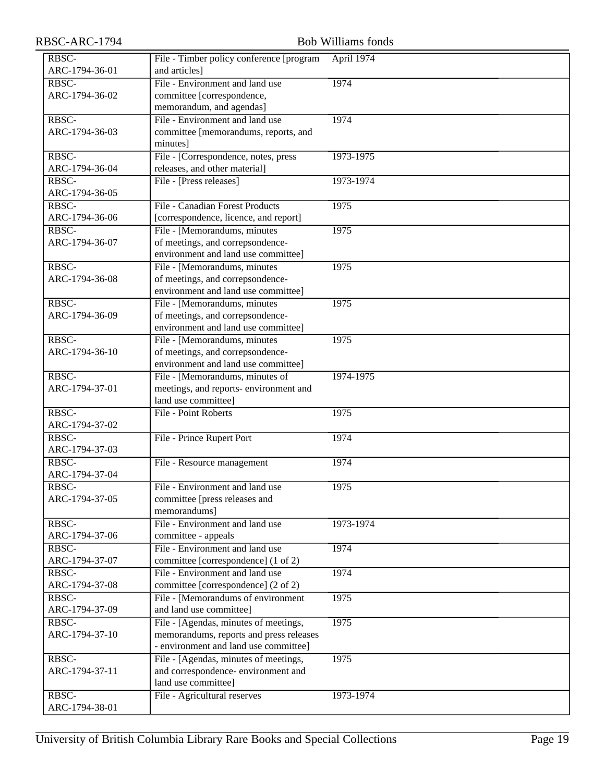| RBSC-ARC-1794           | <b>Bob Williams fonds</b>                |            |
|-------------------------|------------------------------------------|------------|
| RBSC-                   | File - Timber policy conference [program | April 1974 |
| ARC-1794-36-01          | and articles]                            |            |
| RBSC-                   | File - Environment and land use          | 1974       |
| ARC-1794-36-02          | committee [correspondence,               |            |
|                         | memorandum, and agendas]                 |            |
| RBSC-                   | File - Environment and land use          | 1974       |
| ARC-1794-36-03          | committee [memorandums, reports, and     |            |
|                         | minutes]                                 |            |
| RBSC-                   | File - [Correspondence, notes, press     | 1973-1975  |
| ARC-1794-36-04          | releases, and other material]            |            |
| RBSC-                   | File - [Press releases]                  | 1973-1974  |
| ARC-1794-36-05          |                                          |            |
| RBSC-                   | File - Canadian Forest Products          | 1975       |
| ARC-1794-36-06          | [correspondence, licence, and report]    |            |
| RBSC-                   | File - [Memorandums, minutes             | 1975       |
| ARC-1794-36-07          | of meetings, and correpsondence-         |            |
|                         | environment and land use committee]      |            |
| RBSC-                   | File - [Memorandums, minutes]            | 1975       |
| ARC-1794-36-08          | of meetings, and correpsondence-         |            |
|                         | environment and land use committee]      |            |
| RBSC-                   | File - [Memorandums, minutes]            | 1975       |
| ARC-1794-36-09          | of meetings, and correpsondence-         |            |
|                         | environment and land use committee]      |            |
| RBSC-                   | File - [Memorandums, minutes             | 1975       |
| ARC-1794-36-10          | of meetings, and correpsondence-         |            |
|                         | environment and land use committee]      |            |
| RBSC-                   | File - [Memorandums, minutes of          | 1974-1975  |
| ARC-1794-37-01          | meetings, and reports- environment and   |            |
|                         | land use committee]                      |            |
| RBSC-<br>ARC-1794-37-02 | File - Point Roberts                     | 1975       |
| RBSC-                   |                                          |            |
| ARC-1794-37-03          | File - Prince Rupert Port                | 1974       |
| RBSC-                   | File - Resource management               | 1974       |
| ARC-1794-37-04          |                                          |            |
| RBSC-                   | File - Environment and land use          | 1975       |
| ARC-1794-37-05          | committee [press releases and            |            |
|                         | memorandums]                             |            |
| RBSC-                   | File - Environment and land use          | 1973-1974  |
| ARC-1794-37-06          | committee - appeals                      |            |
| RBSC-                   | File - Environment and land use          | 1974       |
| ARC-1794-37-07          | committee [correspondence] (1 of 2)      |            |
| RBSC-                   | File - Environment and land use          | 1974       |
| ARC-1794-37-08          | committee [correspondence] (2 of 2)      |            |
| RBSC-                   | File - [Memorandums of environment       | 1975       |
| ARC-1794-37-09          | and land use committee]                  |            |
| RBSC-                   | File - [Agendas, minutes of meetings,    | 1975       |
| ARC-1794-37-10          | memorandums, reports and press releases  |            |
|                         | - environment and land use committee]    |            |
| RBSC-                   | File - [Agendas, minutes of meetings,    | 1975       |
| ARC-1794-37-11          | and correspondence- environment and      |            |
|                         | land use committee]                      |            |
| RBSC-                   | File - Agricultural reserves             | 1973-1974  |
| ARC-1794-38-01          |                                          |            |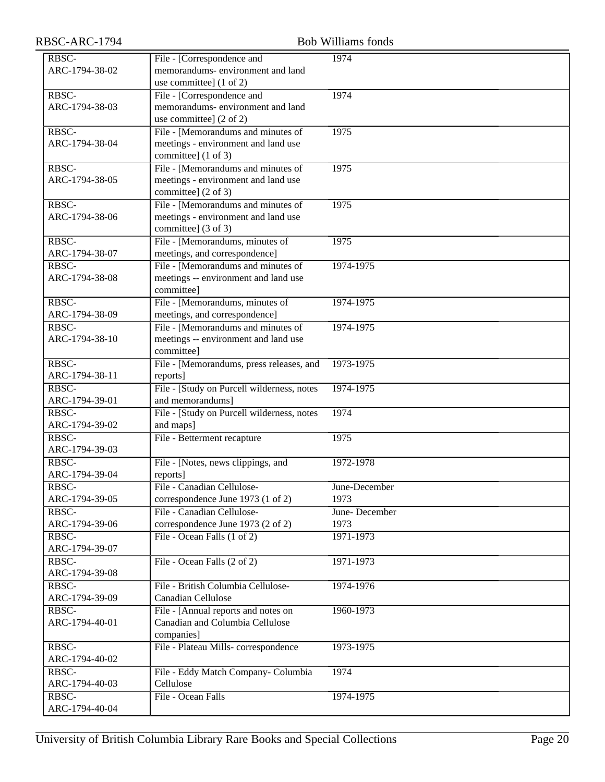| RBSC-ARC-1794           | <b>Bob Williams fonds</b>                                 |               |  |
|-------------------------|-----------------------------------------------------------|---------------|--|
| RBSC-                   | File - [Correspondence and                                | 1974          |  |
| ARC-1794-38-02          | memorandums-environment and land                          |               |  |
|                         | use committee] (1 of 2)                                   |               |  |
| RBSC-                   | File - [Correspondence and                                | 1974          |  |
| ARC-1794-38-03          | memorandums- environment and land                         |               |  |
|                         | use committee] (2 of 2)                                   |               |  |
| RBSC-                   | File - [Memorandums and minutes of                        | 1975          |  |
| ARC-1794-38-04          | meetings - environment and land use                       |               |  |
|                         | committee] (1 of 3)                                       |               |  |
| RBSC-                   | File - [Memorandums and minutes of                        | 1975          |  |
| ARC-1794-38-05          | meetings - environment and land use                       |               |  |
| RBSC-                   | committee] (2 of 3)<br>File - [Memorandums and minutes of | 1975          |  |
| ARC-1794-38-06          | meetings - environment and land use                       |               |  |
|                         | committee] (3 of 3)                                       |               |  |
| RBSC-                   | File - [Memorandums, minutes of                           | 1975          |  |
| ARC-1794-38-07          | meetings, and correspondence]                             |               |  |
| RBSC-                   | File - [Memorandums and minutes of                        | 1974-1975     |  |
| ARC-1794-38-08          | meetings -- environment and land use                      |               |  |
|                         | committee]                                                |               |  |
| RBSC-                   | File - [Memorandums, minutes of                           | 1974-1975     |  |
| ARC-1794-38-09          | meetings, and correspondence]                             |               |  |
| RBSC-                   | File - [Memorandums and minutes of                        | 1974-1975     |  |
| ARC-1794-38-10          | meetings -- environment and land use                      |               |  |
|                         | committee]                                                |               |  |
| RBSC-                   | File - [Memorandums, press releases, and                  | 1973-1975     |  |
| ARC-1794-38-11          | reports]                                                  |               |  |
| RBSC-                   | File - [Study on Purcell wilderness, notes                | 1974-1975     |  |
| ARC-1794-39-01          | and memorandums]                                          |               |  |
| RBSC-                   | File - [Study on Purcell wilderness, notes                | 1974          |  |
| ARC-1794-39-02          | and maps]                                                 |               |  |
| RBSC-                   | File - Betterment recapture                               | 1975          |  |
| ARC-1794-39-03          |                                                           |               |  |
| RBSC-                   | File - [Notes, news clippings, and                        | 1972-1978     |  |
| ARC-1794-39-04          | reports]                                                  |               |  |
| RBSC-                   | File - Canadian Cellulose-                                | June-December |  |
| ARC-1794-39-05          | correspondence June 1973 (1 of 2)                         | 1973          |  |
| RBSC-                   | File - Canadian Cellulose-                                | June-December |  |
| ARC-1794-39-06          | correspondence June 1973 (2 of 2)                         | 1973          |  |
| RBSC-<br>ARC-1794-39-07 | File - Ocean Falls (1 of 2)                               | 1971-1973     |  |
| RBSC-                   | File - Ocean Falls (2 of 2)                               | 1971-1973     |  |
| ARC-1794-39-08          |                                                           |               |  |
| RBSC-                   | File - British Columbia Cellulose-                        | 1974-1976     |  |
| ARC-1794-39-09          | Canadian Cellulose                                        |               |  |
| RBSC-                   | File - [Annual reports and notes on                       | 1960-1973     |  |
| ARC-1794-40-01          | Canadian and Columbia Cellulose                           |               |  |
|                         | companies]                                                |               |  |
| RBSC-                   | File - Plateau Mills-correspondence                       | 1973-1975     |  |
| ARC-1794-40-02          |                                                           |               |  |
| RBSC-                   | File - Eddy Match Company- Columbia                       | 1974          |  |
| ARC-1794-40-03          | Cellulose                                                 |               |  |
| RBSC-                   | File - Ocean Falls                                        | 1974-1975     |  |
| ARC-1794-40-04          |                                                           |               |  |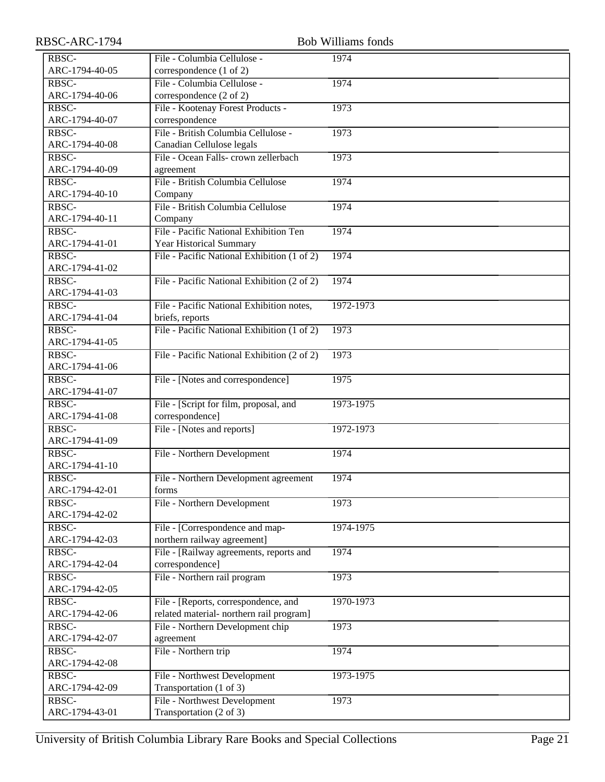| RBSC-ARC-1794           |                                             | <b>Bob Williams fonds</b> |
|-------------------------|---------------------------------------------|---------------------------|
| RBSC-                   | File - Columbia Cellulose -                 | 1974                      |
| ARC-1794-40-05          | correspondence (1 of 2)                     |                           |
| RBSC-                   | File - Columbia Cellulose -                 | 1974                      |
| ARC-1794-40-06          | correspondence (2 of 2)                     |                           |
| RBSC-                   | File - Kootenay Forest Products -           | 1973                      |
| ARC-1794-40-07          | correspondence                              |                           |
| RBSC-                   | File - British Columbia Cellulose -         | 1973                      |
| ARC-1794-40-08          | Canadian Cellulose legals                   |                           |
| RBSC-                   | File - Ocean Falls- crown zellerbach        | 1973                      |
| ARC-1794-40-09          | agreement                                   |                           |
| RBSC-                   | File - British Columbia Cellulose           | 1974                      |
| ARC-1794-40-10          | Company                                     |                           |
| RBSC-                   | File - British Columbia Cellulose           | 1974                      |
| ARC-1794-40-11          | Company                                     |                           |
| RBSC-                   | File - Pacific National Exhibition Ten      | 1974                      |
| ARC-1794-41-01          | Year Historical Summary                     |                           |
| RBSC-                   | File - Pacific National Exhibition (1 of 2) | 1974                      |
| ARC-1794-41-02          |                                             |                           |
| RBSC-                   | File - Pacific National Exhibition (2 of 2) | 1974                      |
| ARC-1794-41-03          |                                             |                           |
| RBSC-                   | File - Pacific National Exhibition notes,   | 1972-1973                 |
| ARC-1794-41-04          | briefs, reports                             |                           |
| RBSC-                   | File - Pacific National Exhibition (1 of 2) | 1973                      |
| ARC-1794-41-05          |                                             |                           |
| RBSC-                   | File - Pacific National Exhibition (2 of 2) | 1973                      |
| ARC-1794-41-06          |                                             |                           |
| RBSC-                   | File - [Notes and correspondence]           | 1975                      |
| ARC-1794-41-07          |                                             |                           |
| RBSC-                   | File - [Script for film, proposal, and      | 1973-1975                 |
| ARC-1794-41-08          | correspondence]                             |                           |
| RBSC-                   | File - [Notes and reports]                  | 1972-1973                 |
| ARC-1794-41-09          |                                             |                           |
| RBSC-                   | File - Northern Development                 | 1974                      |
| ARC-1794-41-10          |                                             |                           |
| RBSC-                   | File - Northern Development agreement       | 1974                      |
| ARC-1794-42-01          | forms                                       |                           |
| RBSC-                   | File - Northern Development                 | 1973                      |
| ARC-1794-42-02<br>RBSC- | File - [Correspondence and map-             | 1974-1975                 |
| ARC-1794-42-03          | northern railway agreement]                 |                           |
| RBSC-                   | File - [Railway agreements, reports and     | 1974                      |
| ARC-1794-42-04          | correspondence]                             |                           |
| RBSC-                   | File - Northern rail program                | 1973                      |
| ARC-1794-42-05          |                                             |                           |
| RBSC-                   | File - [Reports, correspondence, and        | 1970-1973                 |
| ARC-1794-42-06          | related material- northern rail program]    |                           |
| RBSC-                   | File - Northern Development chip            | 1973                      |
| ARC-1794-42-07          | agreement                                   |                           |
| RBSC-                   | File - Northern trip                        | 1974                      |
| ARC-1794-42-08          |                                             |                           |
| RBSC-                   | File - Northwest Development                | 1973-1975                 |
| ARC-1794-42-09          | Transportation (1 of 3)                     |                           |
| RBSC-                   | File - Northwest Development                | 1973                      |
| ARC-1794-43-01          | Transportation (2 of 3)                     |                           |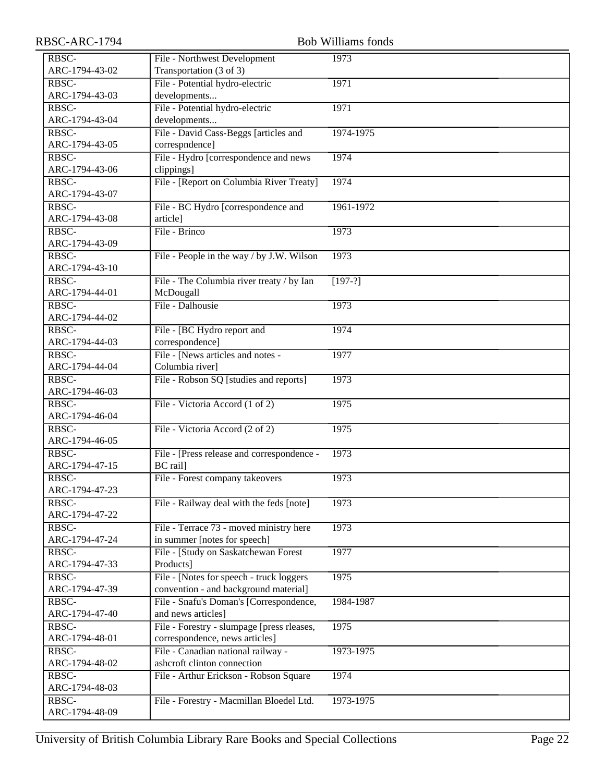| RBSC-ARC-1794  |                                            | <b>Bob Williams fonds</b> |
|----------------|--------------------------------------------|---------------------------|
| RBSC-          | File - Northwest Development               | 1973                      |
| ARC-1794-43-02 | Transportation (3 of 3)                    |                           |
| RBSC-          | File - Potential hydro-electric            | 1971                      |
| ARC-1794-43-03 | developments                               |                           |
| RBSC-          | File - Potential hydro-electric            | 1971                      |
| ARC-1794-43-04 | developments                               |                           |
| RBSC-          | File - David Cass-Beggs [articles and      | 1974-1975                 |
| ARC-1794-43-05 | correspndence]                             |                           |
| RBSC-          | File - Hydro [correspondence and news      | 1974                      |
| ARC-1794-43-06 | clippings]                                 |                           |
| RBSC-          | File - [Report on Columbia River Treaty]   | 1974                      |
| ARC-1794-43-07 |                                            |                           |
| RBSC-          | File - BC Hydro [correspondence and        | 1961-1972                 |
| ARC-1794-43-08 | article]                                   |                           |
| RBSC-          | File - Brinco                              | 1973                      |
| ARC-1794-43-09 |                                            |                           |
| RBSC-          | File - People in the way / by J.W. Wilson  | 1973                      |
| ARC-1794-43-10 |                                            |                           |
| RBSC-          | File - The Columbia river treaty / by Ian  | $[197-?]$                 |
| ARC-1794-44-01 | McDougall                                  |                           |
| RBSC-          | File - Dalhousie                           | 1973                      |
| ARC-1794-44-02 |                                            |                           |
| RBSC-          | File - [BC Hydro report and                | 1974                      |
| ARC-1794-44-03 | correspondence]                            |                           |
| RBSC-          | File - [News articles and notes -          | 1977                      |
| ARC-1794-44-04 | Columbia river]                            |                           |
| RBSC-          | File - Robson SQ [studies and reports]     | 1973                      |
| ARC-1794-46-03 |                                            |                           |
| RBSC-          | File - Victoria Accord (1 of 2)            | 1975                      |
| ARC-1794-46-04 |                                            |                           |
| RBSC-          | File - Victoria Accord (2 of 2)            | 1975                      |
| ARC-1794-46-05 |                                            |                           |
| RBSC-          | File - [Press release and correspondence - | 1973                      |
| ARC-1794-47-15 | BC rail]                                   |                           |
| RBSC-          | File - Forest company takeovers            | 1973                      |
| ARC-1794-47-23 |                                            |                           |
| RBSC-          | File - Railway deal with the feds [note]   | 1973                      |
| ARC-1794-47-22 |                                            |                           |
| RBSC-          | File - Terrace 73 - moved ministry here    | 1973                      |
| ARC-1794-47-24 | in summer [notes for speech]               |                           |
| RBSC-          | File - [Study on Saskatchewan Forest       | 1977                      |
| ARC-1794-47-33 | Products]                                  |                           |
| RBSC-          | File - [Notes for speech - truck loggers   | 1975                      |
| ARC-1794-47-39 | convention - and background material]      |                           |
| RBSC-          | File - Snafu's Doman's [Correspondence,    | 1984-1987                 |
| ARC-1794-47-40 | and news articles]                         |                           |
| RBSC-          | File - Forestry - slumpage [press rleases, | 1975                      |
| ARC-1794-48-01 | correspondence, news articles]             |                           |
| RBSC-          | File - Canadian national railway -         | 1973-1975                 |
| ARC-1794-48-02 | ashcroft clinton connection                |                           |
| RBSC-          | File - Arthur Erickson - Robson Square     | 1974                      |
| ARC-1794-48-03 |                                            |                           |
| RBSC-          | File - Forestry - Macmillan Bloedel Ltd.   | 1973-1975                 |
| ARC-1794-48-09 |                                            |                           |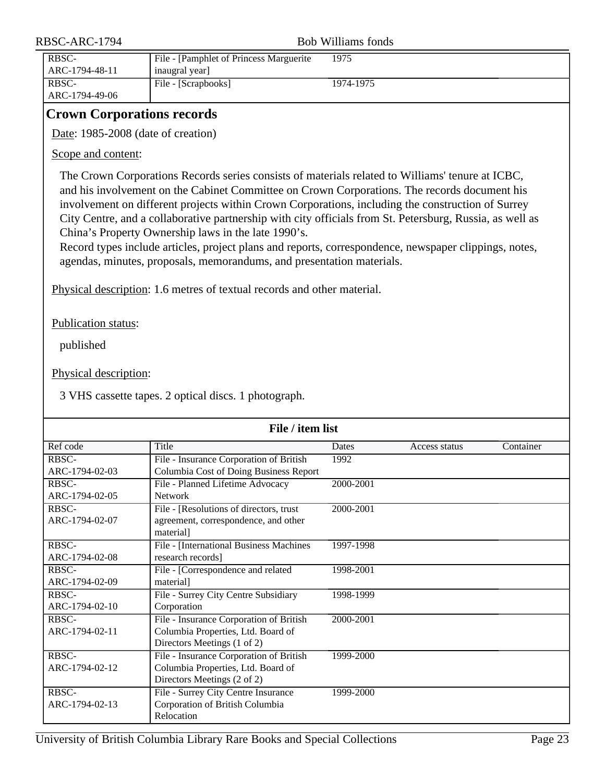| RBSC-ARC-1794 |                         | Bob Williams fonds                                       |           |  |
|---------------|-------------------------|----------------------------------------------------------|-----------|--|
|               | RBSC-<br>ARC-1794-48-11 | File - [Pamphlet of Princess Marguerite<br>inaugral year | 1975      |  |
|               | RBSC-<br>ARC-1794-49-06 | File - [Scrapbooks]                                      | 1974-1975 |  |

### <span id="page-22-0"></span>**Crown Corporations records**

Date: 1985-2008 (date of creation)

Scope and content:

The Crown Corporations Records series consists of materials related to Williams' tenure at ICBC, and his involvement on the Cabinet Committee on Crown Corporations. The records document his involvement on different projects within Crown Corporations, including the construction of Surrey City Centre, and a collaborative partnership with city officials from St. Petersburg, Russia, as well as China's Property Ownership laws in the late 1990's.

Record types include articles, project plans and reports, correspondence, newspaper clippings, notes, agendas, minutes, proposals, memorandums, and presentation materials.

Physical description: 1.6 metres of textual records and other material.

Publication status:

published

Physical description:

3 VHS cassette tapes. 2 optical discs. 1 photograph.

| File / item list |                                         |           |               |           |
|------------------|-----------------------------------------|-----------|---------------|-----------|
| Ref code         | Title                                   | Dates     | Access status | Container |
| RBSC-            | File - Insurance Corporation of British | 1992      |               |           |
| ARC-1794-02-03   | Columbia Cost of Doing Business Report  |           |               |           |
| RBSC-            | File - Planned Lifetime Advocacy        | 2000-2001 |               |           |
| ARC-1794-02-05   | <b>Network</b>                          |           |               |           |
| RBSC-            | File - [Resolutions of directors, trust | 2000-2001 |               |           |
| ARC-1794-02-07   | agreement, correspondence, and other    |           |               |           |
|                  | material]                               |           |               |           |
| RBSC-            | File - [International Business Machines | 1997-1998 |               |           |
| ARC-1794-02-08   | research records]                       |           |               |           |
| RBSC-            | File - [Correspondence and related      | 1998-2001 |               |           |
| ARC-1794-02-09   | material]                               |           |               |           |
| RBSC-            | File - Surrey City Centre Subsidiary    | 1998-1999 |               |           |
| ARC-1794-02-10   | Corporation                             |           |               |           |
| RBSC-            | File - Insurance Corporation of British | 2000-2001 |               |           |
| ARC-1794-02-11   | Columbia Properties, Ltd. Board of      |           |               |           |
|                  | Directors Meetings (1 of 2)             |           |               |           |
| RBSC-            | File - Insurance Corporation of British | 1999-2000 |               |           |
| ARC-1794-02-12   | Columbia Properties, Ltd. Board of      |           |               |           |
|                  | Directors Meetings (2 of 2)             |           |               |           |
| RBSC-            | File - Surrey City Centre Insurance     | 1999-2000 |               |           |
| ARC-1794-02-13   | Corporation of British Columbia         |           |               |           |
|                  | Relocation                              |           |               |           |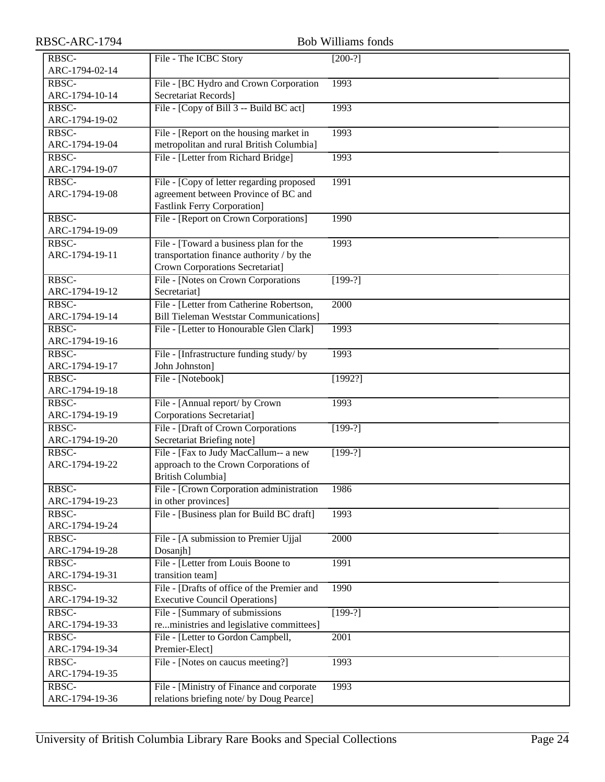| RBSC-ARC-1794           |                                                                                | <b>Bob Williams fonds</b> |
|-------------------------|--------------------------------------------------------------------------------|---------------------------|
| RBSC-                   | File - The ICBC Story                                                          | $[200-?]$                 |
| ARC-1794-02-14          |                                                                                |                           |
| RBSC-                   | File - [BC Hydro and Crown Corporation                                         | 1993                      |
| ARC-1794-10-14          | Secretariat Records]                                                           |                           |
| RBSC-                   | File - [Copy of Bill 3 -- Build BC act]                                        | 1993                      |
| ARC-1794-19-02          |                                                                                |                           |
| RBSC-                   | File - [Report on the housing market in                                        | 1993                      |
| ARC-1794-19-04          | metropolitan and rural British Columbia]                                       |                           |
| RBSC-                   | File - [Letter from Richard Bridge]                                            | 1993                      |
| ARC-1794-19-07          |                                                                                |                           |
| RBSC-                   | File - [Copy of letter regarding proposed                                      | 1991                      |
| ARC-1794-19-08          | agreement between Province of BC and<br><b>Fastlink Ferry Corporation]</b>     |                           |
| RBSC-                   | File - [Report on Crown Corporations]                                          | 1990                      |
| ARC-1794-19-09          |                                                                                |                           |
| RBSC-                   | File - [Toward a business plan for the                                         | 1993                      |
| ARC-1794-19-11          | transportation finance authority / by the                                      |                           |
|                         | Crown Corporations Secretariat]                                                |                           |
| RBSC-                   | File - [Notes on Crown Corporations]                                           | $[199-?]$                 |
| ARC-1794-19-12          | Secretariat]                                                                   |                           |
| RBSC-                   | File - [Letter from Catherine Robertson,                                       | 2000                      |
| ARC-1794-19-14          | <b>Bill Tieleman Weststar Communications]</b>                                  |                           |
| RBSC-                   | File - [Letter to Honourable Glen Clark]                                       | 1993                      |
| ARC-1794-19-16          |                                                                                |                           |
| RBSC-                   | File - [Infrastructure funding study/ by                                       | 1993                      |
| ARC-1794-19-17          | John Johnston]                                                                 |                           |
| RBSC-                   | File - [Notebook]                                                              | [1992?]                   |
| ARC-1794-19-18          |                                                                                |                           |
| RBSC-                   | File - [Annual report/ by Crown                                                | 1993                      |
| ARC-1794-19-19          | Corporations Secretariat]                                                      |                           |
| RBSC-                   | File - [Draft of Crown Corporations                                            | $[199-?]$                 |
| ARC-1794-19-20          | Secretariat Briefing note]                                                     |                           |
| RBSC-<br>ARC-1794-19-22 | File - [Fax to Judy MacCallum-- a new<br>approach to the Crown Corporations of | $[199-?]$                 |
|                         | <b>British Columbia]</b>                                                       |                           |
| RBSC-                   | File - [Crown Corporation administration                                       | 1986                      |
| ARC-1794-19-23          | in other provinces]                                                            |                           |
| RBSC-                   | File - [Business plan for Build BC draft]                                      | 1993                      |
| ARC-1794-19-24          |                                                                                |                           |
| RBSC-                   | File - [A submission to Premier Ujjal                                          | 2000                      |
| ARC-1794-19-28          | Dosanjh]                                                                       |                           |
| RBSC-                   | File - [Letter from Louis Boone to                                             | 1991                      |
| ARC-1794-19-31          | transition team]                                                               |                           |
| RBSC-                   | File - [Drafts of office of the Premier and                                    | 1990                      |
| ARC-1794-19-32          | <b>Executive Council Operations</b> ]                                          |                           |
| RBSC-                   | File - [Summary of submissions]                                                | $[199-?]$                 |
| ARC-1794-19-33          | reministries and legislative committees]                                       |                           |
| RBSC-                   | File - [Letter to Gordon Campbell,                                             | 2001                      |
| ARC-1794-19-34          | Premier-Elect]                                                                 |                           |
| RBSC-                   | File - [Notes on caucus meeting?]                                              | 1993                      |
| ARC-1794-19-35          |                                                                                |                           |
| RBSC-                   | File - [Ministry of Finance and corporate                                      | 1993                      |
| ARC-1794-19-36          | relations briefing note/ by Doug Pearce]                                       |                           |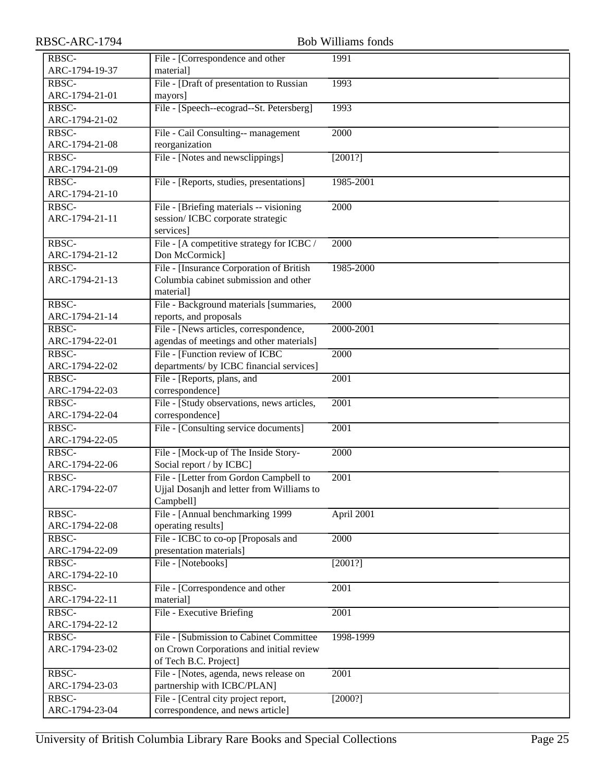| RBSC-ARC-1794           |                                                                | <b>Bob Williams fonds</b> |
|-------------------------|----------------------------------------------------------------|---------------------------|
| RBSC-                   | File - [Correspondence and other                               | 1991                      |
| ARC-1794-19-37          | material]                                                      |                           |
| RBSC-                   | File - [Draft of presentation to Russian                       | 1993                      |
| ARC-1794-21-01          | mayors]                                                        |                           |
| RBSC-                   | File - [Speech--ecograd--St. Petersberg]                       | 1993                      |
| ARC-1794-21-02          |                                                                |                           |
| RBSC-                   | File - Cail Consulting-- management                            | 2000                      |
| ARC-1794-21-08          | reorganization                                                 |                           |
| RBSC-                   | File - [Notes and newsclippings]                               | [2001?]                   |
| ARC-1794-21-09          |                                                                |                           |
| RBSC-                   | File - [Reports, studies, presentations]                       | 1985-2001                 |
| ARC-1794-21-10          |                                                                |                           |
| RBSC-                   | File - [Briefing materials -- visioning]                       | 2000                      |
| ARC-1794-21-11          | session/ICBC corporate strategic                               |                           |
|                         | services]                                                      |                           |
| RBSC-                   | File - [A competitive strategy for ICBC /                      | 2000                      |
| ARC-1794-21-12          | Don McCormick]                                                 |                           |
| RBSC-                   | File - [Insurance Corporation of British                       | 1985-2000                 |
| ARC-1794-21-13          | Columbia cabinet submission and other                          |                           |
|                         | material                                                       |                           |
| RBSC-                   | File - Background materials [summaries,                        | 2000                      |
| ARC-1794-21-14          | reports, and proposals                                         |                           |
| RBSC-                   | File - [News articles, correspondence,                         | 2000-2001                 |
| ARC-1794-22-01          | agendas of meetings and other materials]                       |                           |
| RBSC-                   | File - [Function review of ICBC                                | 2000                      |
| ARC-1794-22-02          | departments/ by ICBC financial services]                       |                           |
| RBSC-                   | File - [Reports, plans, and                                    | 2001                      |
| ARC-1794-22-03          | correspondence]                                                |                           |
| RBSC-                   | File - [Study observations, news articles,                     | $\overline{200}1$         |
| ARC-1794-22-04          | correspondence]                                                |                           |
| RBSC-                   | File - [Consulting service documents]                          | 2001                      |
| ARC-1794-22-05          |                                                                |                           |
| RBSC-                   | File - [Mock-up of The Inside Story-                           | 2000                      |
| ARC-1794-22-06          | Social report / by ICBC]                                       |                           |
| RBSC-                   | File - [Letter from Gordon Campbell to                         | $\overline{2001}$         |
| ARC-1794-22-07          | Ujjal Dosanjh and letter from Williams to                      |                           |
|                         | Campbell]                                                      |                           |
| RBSC-                   | File - [Annual benchmarking 1999                               | April 2001                |
| ARC-1794-22-08          | operating results]                                             |                           |
| RBSC-<br>ARC-1794-22-09 | File - ICBC to co-op [Proposals and<br>presentation materials] | 2000                      |
| RBSC-                   | File - [Notebooks]                                             | [2001?]                   |
| ARC-1794-22-10          |                                                                |                           |
| RBSC-                   | File - [Correspondence and other                               | 2001                      |
| ARC-1794-22-11          | material]                                                      |                           |
| RBSC-                   | File - Executive Briefing                                      | 2001                      |
| ARC-1794-22-12          |                                                                |                           |
| RBSC-                   | File - [Submission to Cabinet Committee                        | 1998-1999                 |
| ARC-1794-23-02          | on Crown Corporations and initial review                       |                           |
|                         | of Tech B.C. Project]                                          |                           |
| RBSC-                   | File - [Notes, agenda, news release on                         | 2001                      |
| ARC-1794-23-03          | partnership with ICBC/PLAN]                                    |                           |
| RBSC-                   | File - [Central city project report,                           | [2000?]                   |
| ARC-1794-23-04          | correspondence, and news article]                              |                           |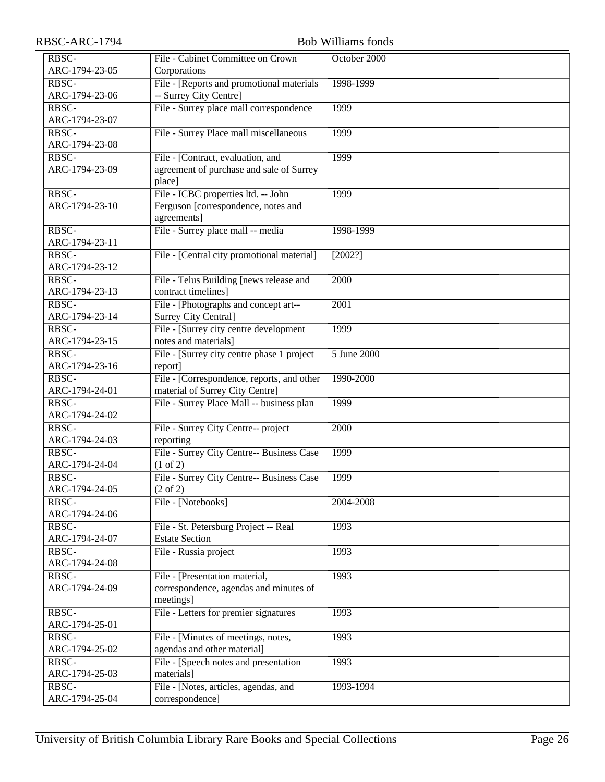| RBSC-ARC-1794 |
|---------------|
|---------------|

| RBSC-ARC-1794           | <b>Bob Williams fonds</b>                                      |              |  |
|-------------------------|----------------------------------------------------------------|--------------|--|
| RBSC-                   | File - Cabinet Committee on Crown                              | October 2000 |  |
| ARC-1794-23-05          | Corporations                                                   |              |  |
| RBSC-                   | File - [Reports and promotional materials                      | 1998-1999    |  |
| ARC-1794-23-06          | -- Surrey City Centre]                                         |              |  |
| RBSC-                   | File - Surrey place mall correspondence                        | 1999         |  |
| ARC-1794-23-07          |                                                                |              |  |
| RBSC-                   | File - Surrey Place mall miscellaneous                         | 1999         |  |
| ARC-1794-23-08          |                                                                |              |  |
| RBSC-                   | File - [Contract, evaluation, and                              | 1999         |  |
| ARC-1794-23-09          | agreement of purchase and sale of Surrey                       |              |  |
|                         | place]                                                         |              |  |
| RBSC-                   | File - ICBC properties ltd. -- John                            | 1999         |  |
| ARC-1794-23-10          | Ferguson [correspondence, notes and                            |              |  |
|                         | agreements]                                                    |              |  |
| RBSC-                   | File - Surrey place mall -- media                              | 1998-1999    |  |
| ARC-1794-23-11          |                                                                |              |  |
| RBSC-                   | File - [Central city promotional material]                     | [2002?]      |  |
| ARC-1794-23-12          |                                                                |              |  |
| RBSC-                   | File - Telus Building [news release and                        | 2000         |  |
| ARC-1794-23-13          | contract timelines]                                            |              |  |
| RBSC-                   | File - [Photographs and concept art--                          | 2001         |  |
| ARC-1794-23-14          | <b>Surrey City Central]</b>                                    |              |  |
| RBSC-                   | File - [Surrey city centre development                         | 1999         |  |
| ARC-1794-23-15          | notes and materials]                                           |              |  |
| RBSC-                   | File - [Surrey city centre phase 1 project                     | 5 June 2000  |  |
| ARC-1794-23-16          | report]                                                        |              |  |
| RBSC-                   | File - [Correspondence, reports, and other                     | 1990-2000    |  |
| ARC-1794-24-01          | material of Surrey City Centre]                                |              |  |
| RBSC-                   | File - Surrey Place Mall -- business plan                      | 1999         |  |
| ARC-1794-24-02          |                                                                |              |  |
| RBSC-                   | File - Surrey City Centre-- project                            | 2000         |  |
| ARC-1794-24-03          | reporting                                                      |              |  |
| RBSC-                   | File - Surrey City Centre-- Business Case                      | 1999         |  |
| ARC-1794-24-04          | $(1 \text{ of } 2)$                                            |              |  |
| RBSC-                   | File - Surrey City Centre-- Business Case                      | 1999         |  |
| ARC-1794-24-05          | $(2 \text{ of } 2)$                                            |              |  |
| RBSC-<br>ARC-1794-24-06 | File - [Notebooks]                                             | 2004-2008    |  |
|                         |                                                                |              |  |
| RBSC-<br>ARC-1794-24-07 | File - St. Petersburg Project -- Real<br><b>Estate Section</b> | 1993         |  |
| RBSC-                   | File - Russia project                                          | 1993         |  |
| ARC-1794-24-08          |                                                                |              |  |
| RBSC-                   | File - [Presentation material,                                 | 1993         |  |
| ARC-1794-24-09          | correspondence, agendas and minutes of                         |              |  |
|                         | meetings]                                                      |              |  |
| RBSC-                   | File - Letters for premier signatures                          | 1993         |  |
| ARC-1794-25-01          |                                                                |              |  |
| RBSC-                   | File - [Minutes of meetings, notes,                            | 1993         |  |
| ARC-1794-25-02          | agendas and other material]                                    |              |  |
| RBSC-                   | File - [Speech notes and presentation]                         | 1993         |  |
| ARC-1794-25-03          | materials]                                                     |              |  |
| RBSC-                   | File - [Notes, articles, agendas, and                          | 1993-1994    |  |
| ARC-1794-25-04          | correspondence]                                                |              |  |
|                         |                                                                |              |  |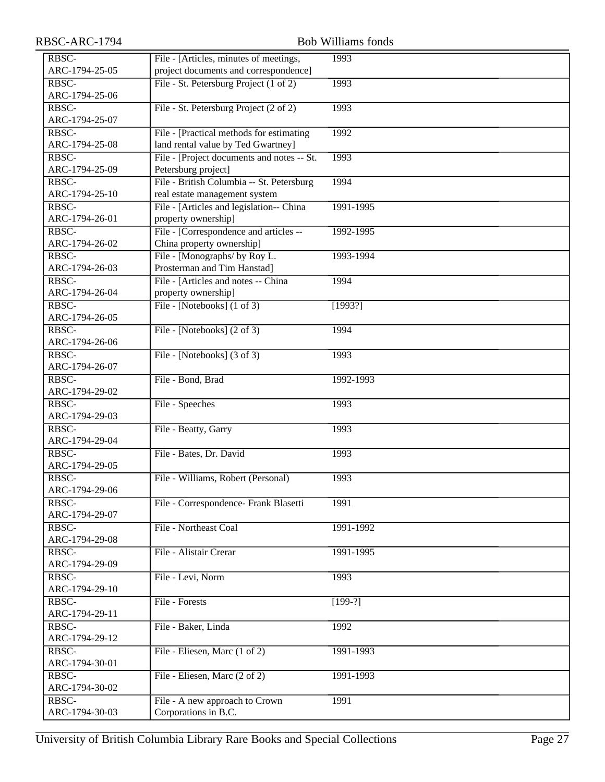| RBSC-ARC-1794           |                                             | <b>Bob Williams fonds</b> |
|-------------------------|---------------------------------------------|---------------------------|
| RBSC-                   | File - [Articles, minutes of meetings,      | 1993                      |
| ARC-1794-25-05          | project documents and correspondence]       |                           |
| RBSC-                   | File - St. Petersburg Project (1 of 2)      | 1993                      |
| ARC-1794-25-06          |                                             |                           |
| RBSC-                   | File - St. Petersburg Project (2 of 2)      | 1993                      |
| ARC-1794-25-07          |                                             |                           |
| RBSC-                   | File - [Practical methods for estimating]   | 1992                      |
| ARC-1794-25-08          | land rental value by Ted Gwartney]          |                           |
| RBSC-                   | File - [Project documents and notes -- St.] | 1993                      |
| ARC-1794-25-09          | Petersburg project]                         |                           |
| RBSC-                   | File - British Columbia -- St. Petersburg   | 1994                      |
| ARC-1794-25-10          | real estate management system               |                           |
| RBSC-                   | File - [Articles and legislation-- China    | 1991-1995                 |
| ARC-1794-26-01          | property ownership]                         |                           |
| RBSC-                   | File - [Correspondence and articles --      | 1992-1995                 |
| ARC-1794-26-02          | China property ownership]                   |                           |
| RBSC-                   | File - [Monographs/ by Roy L.               | 1993-1994                 |
| ARC-1794-26-03          | Prosterman and Tim Hanstad]                 |                           |
| RBSC-                   | File - [Articles and notes -- China]        | 1994                      |
| ARC-1794-26-04          | property ownership]                         |                           |
| RBSC-                   | File - [Notebooks] $(1 \text{ of } 3)$      | [1993?]                   |
| ARC-1794-26-05          |                                             |                           |
| RBSC-                   | File - [Notebooks] (2 of 3)                 | 1994                      |
| ARC-1794-26-06          |                                             |                           |
| RBSC-                   | File - [Notebooks] $(3 \text{ of } 3)$      | 1993                      |
| ARC-1794-26-07          |                                             |                           |
| RBSC-                   | File - Bond, Brad                           | 1992-1993                 |
| ARC-1794-29-02          |                                             |                           |
| RBSC-                   | File - Speeches                             | 1993                      |
| ARC-1794-29-03<br>RBSC- |                                             |                           |
| ARC-1794-29-04          | File - Beatty, Garry                        | 1993                      |
| RBSC-                   | File - Bates, Dr. David                     | 1993                      |
| ARC-1794-29-05          |                                             |                           |
| RBSC-                   | File - Williams, Robert (Personal)          | 1993                      |
| ARC-1794-29-06          |                                             |                           |
| RBSC-                   | File - Correspondence- Frank Blasetti       | 1991                      |
| ARC-1794-29-07          |                                             |                           |
| RBSC-                   | File - Northeast Coal                       | 1991-1992                 |
| ARC-1794-29-08          |                                             |                           |
| RBSC-                   | File - Alistair Crerar                      | 1991-1995                 |
| ARC-1794-29-09          |                                             |                           |
| RBSC-                   | File - Levi, Norm                           | 1993                      |
| ARC-1794-29-10          |                                             |                           |
| RBSC-                   | File - Forests                              | $[199-?]$                 |
| ARC-1794-29-11          |                                             |                           |
| RBSC-                   | File - Baker, Linda                         | 1992                      |
| ARC-1794-29-12          |                                             |                           |
| RBSC-                   | File - Eliesen, Marc (1 of 2)               | 1991-1993                 |
| ARC-1794-30-01          |                                             |                           |
| RBSC-                   | File - Eliesen, Marc (2 of 2)               | 1991-1993                 |
| ARC-1794-30-02          |                                             |                           |
| RBSC-                   | File - A new approach to Crown              | 1991                      |
| ARC-1794-30-03          | Corporations in B.C.                        |                           |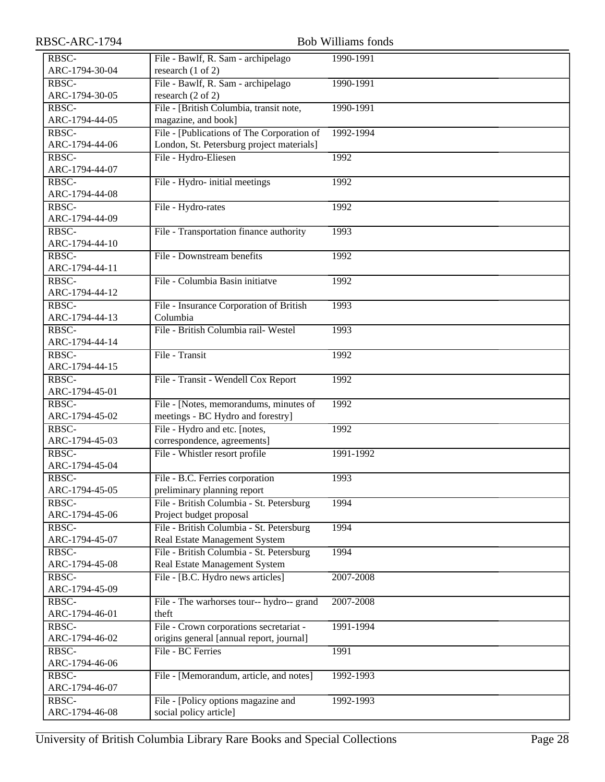| RBSC-ARC-1794  | <b>Bob Williams fonds</b>                  |           |  |
|----------------|--------------------------------------------|-----------|--|
| RBSC-          | File - Bawlf, R. Sam - archipelago         | 1990-1991 |  |
| ARC-1794-30-04 | research (1 of 2)                          |           |  |
| RBSC-          | File - Bawlf, R. Sam - archipelago         | 1990-1991 |  |
| ARC-1794-30-05 | research (2 of 2)                          |           |  |
| RBSC-          | File - [British Columbia, transit note,    | 1990-1991 |  |
| ARC-1794-44-05 | magazine, and book]                        |           |  |
| RBSC-          | File - [Publications of The Corporation of | 1992-1994 |  |
| ARC-1794-44-06 | London, St. Petersburg project materials]  |           |  |
| RBSC-          | File - Hydro-Eliesen                       | 1992      |  |
| ARC-1794-44-07 |                                            |           |  |
| RBSC-          | File - Hydro- initial meetings             | 1992      |  |
| ARC-1794-44-08 |                                            |           |  |
| RBSC-          | File - Hydro-rates                         | 1992      |  |
| ARC-1794-44-09 |                                            |           |  |
| RBSC-          | File - Transportation finance authority    | 1993      |  |
| ARC-1794-44-10 |                                            |           |  |
| RBSC-          | File - Downstream benefits                 | 1992      |  |
| ARC-1794-44-11 |                                            |           |  |
| RBSC-          | File - Columbia Basin initiatve            | 1992      |  |
| ARC-1794-44-12 |                                            |           |  |
| RBSC-          | File - Insurance Corporation of British    | 1993      |  |
| ARC-1794-44-13 | Columbia                                   |           |  |
| RBSC-          | File - British Columbia rail- Westel       | 1993      |  |
| ARC-1794-44-14 |                                            |           |  |
| RBSC-          | File - Transit                             | 1992      |  |
| ARC-1794-44-15 |                                            |           |  |
| RBSC-          | File - Transit - Wendell Cox Report        | 1992      |  |
| ARC-1794-45-01 |                                            |           |  |
| RBSC-          | File - [Notes, memorandums, minutes of     | 1992      |  |
| ARC-1794-45-02 | meetings - BC Hydro and forestry]          |           |  |
| RBSC-          | File - Hydro and etc. [notes,              | 1992      |  |
| ARC-1794-45-03 | correspondence, agreements]                |           |  |
| RBSC-          | File - Whistler resort profile             | 1991-1992 |  |
| ARC-1794-45-04 |                                            |           |  |
| RBSC-          | File - B.C. Ferries corporation            | 1993      |  |
| ARC-1794-45-05 | preliminary planning report                |           |  |
| RBSC-          | File - British Columbia - St. Petersburg   | 1994      |  |
| ARC-1794-45-06 | Project budget proposal                    |           |  |
| RBSC-          | File - British Columbia - St. Petersburg   | 1994      |  |
| ARC-1794-45-07 | Real Estate Management System              |           |  |
| RBSC-          | File - British Columbia - St. Petersburg   | 1994      |  |
| ARC-1794-45-08 | Real Estate Management System              |           |  |
| RBSC-          | File - [B.C. Hydro news articles]          | 2007-2008 |  |
| ARC-1794-45-09 |                                            |           |  |
| RBSC-          | File - The warhorses tour-- hydro-- grand  | 2007-2008 |  |
| ARC-1794-46-01 | theft                                      |           |  |
| RBSC-          | File - Crown corporations secretariat -    | 1991-1994 |  |
| ARC-1794-46-02 | origins general [annual report, journal]   |           |  |
| RBSC-          | File - BC Ferries                          | 1991      |  |
| ARC-1794-46-06 |                                            |           |  |
| RBSC-          | File - [Memorandum, article, and notes]    | 1992-1993 |  |
| ARC-1794-46-07 |                                            |           |  |
| RBSC-          | File - [Policy options magazine and        | 1992-1993 |  |
| ARC-1794-46-08 | social policy article]                     |           |  |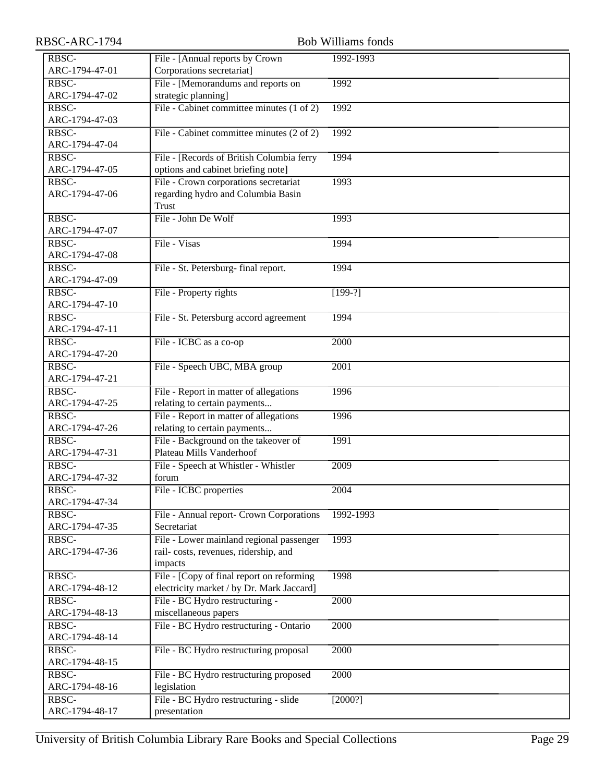| RBSC-ARC-1794  | <b>Bob Williams fonds</b>                            |           |  |
|----------------|------------------------------------------------------|-----------|--|
| RBSC-          | File - [Annual reports by Crown                      | 1992-1993 |  |
| ARC-1794-47-01 | Corporations secretariat]                            |           |  |
| RBSC-          | File - [Memorandums and reports on                   | 1992      |  |
| ARC-1794-47-02 | strategic planning]                                  |           |  |
| RBSC-          | File - Cabinet committee minutes (1 of 2)            | 1992      |  |
| ARC-1794-47-03 |                                                      |           |  |
| RBSC-          | File - Cabinet committee minutes (2 of 2)            | 1992      |  |
| ARC-1794-47-04 |                                                      |           |  |
| RBSC-          | File - [Records of British Columbia ferry            | 1994      |  |
| ARC-1794-47-05 | options and cabinet briefing note]                   |           |  |
| RBSC-          | File - Crown corporations secretariat                | 1993      |  |
| ARC-1794-47-06 | regarding hydro and Columbia Basin                   |           |  |
|                | Trust                                                |           |  |
| RBSC-          | File - John De Wolf                                  | 1993      |  |
| ARC-1794-47-07 |                                                      |           |  |
| RBSC-          | File - Visas                                         | 1994      |  |
| ARC-1794-47-08 |                                                      |           |  |
| RBSC-          | File - St. Petersburg-final report.                  | 1994      |  |
| ARC-1794-47-09 |                                                      |           |  |
| RBSC-          | File - Property rights                               | $[199-?]$ |  |
| ARC-1794-47-10 |                                                      |           |  |
| RBSC-          | File - St. Petersburg accord agreement               | 1994      |  |
| ARC-1794-47-11 |                                                      |           |  |
| RBSC-          | File - ICBC as a co-op                               | 2000      |  |
| ARC-1794-47-20 |                                                      |           |  |
| RBSC-          | File - Speech UBC, MBA group                         | 2001      |  |
| ARC-1794-47-21 |                                                      |           |  |
| RBSC-          | File - Report in matter of allegations               | 1996      |  |
| ARC-1794-47-25 | relating to certain payments                         |           |  |
| RBSC-          | File - Report in matter of allegations               | 1996      |  |
| ARC-1794-47-26 | relating to certain payments                         |           |  |
| RBSC-          | File - Background on the takeover of                 | 1991      |  |
| ARC-1794-47-31 | Plateau Mills Vanderhoof                             |           |  |
| RBSC-          | File - Speech at Whistler - Whistler                 | 2009      |  |
| ARC-1794-47-32 | forum                                                |           |  |
| RBSC-          | File - ICBC properties                               | 2004      |  |
| ARC-1794-47-34 |                                                      |           |  |
| RBSC-          | File - Annual report- Crown Corporations             | 1992-1993 |  |
| ARC-1794-47-35 | Secretariat                                          |           |  |
| RBSC-          | File - Lower mainland regional passenger             | 1993      |  |
| ARC-1794-47-36 | rail-costs, revenues, ridership, and                 |           |  |
| RBSC-          | impacts<br>File - [Copy of final report on reforming | 1998      |  |
| ARC-1794-48-12 | electricity market / by Dr. Mark Jaccard]            |           |  |
| RBSC-          | File - BC Hydro restructuring -                      | 2000      |  |
| ARC-1794-48-13 | miscellaneous papers                                 |           |  |
| RBSC-          | File - BC Hydro restructuring - Ontario              | 2000      |  |
| ARC-1794-48-14 |                                                      |           |  |
| RBSC-          | File - BC Hydro restructuring proposal               | 2000      |  |
| ARC-1794-48-15 |                                                      |           |  |
| RBSC-          | File - BC Hydro restructuring proposed               | 2000      |  |
| ARC-1794-48-16 | legislation                                          |           |  |
| RBSC-          | File - BC Hydro restructuring - slide                | [2000?]   |  |
| ARC-1794-48-17 | presentation                                         |           |  |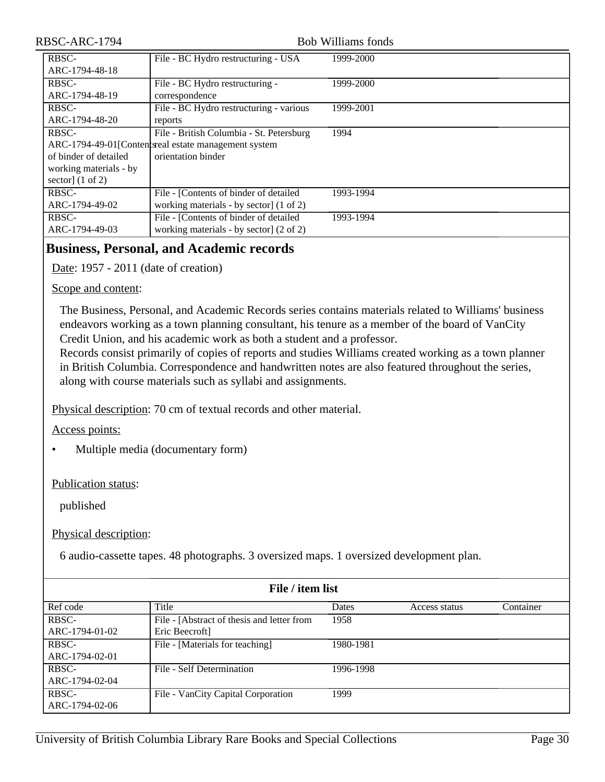### Bob Williams fonds

| RBSC-                       | File - BC Hydro restructuring - USA                   | 1999-2000 |
|-----------------------------|-------------------------------------------------------|-----------|
| ARC-1794-48-18              |                                                       |           |
| RBSC-                       | File - BC Hydro restructuring -                       | 1999-2000 |
| ARC-1794-48-19              | correspondence                                        |           |
| RBSC-                       | File - BC Hydro restructuring - various               | 1999-2001 |
| ARC-1794-48-20              | reports                                               |           |
| RBSC-                       | File - British Columbia - St. Petersburg              | 1994      |
|                             | ARC-1794-49-01[Content speak estate management system |           |
| of binder of detailed       | orientation binder                                    |           |
| working materials - by      |                                                       |           |
| sector] $(1 \text{ of } 2)$ |                                                       |           |
| RBSC-                       | File - [Contents of binder of detailed]               | 1993-1994 |
| ARC-1794-49-02              | working materials - by sector] (1 of 2)               |           |
| RBSC-                       | File - [Contents of binder of detailed]               | 1993-1994 |
| ARC-1794-49-03              | working materials - by sector $(2 \text{ of } 2)$     |           |

# <span id="page-29-0"></span>**Business, Personal, and Academic records**

Date: 1957 - 2011 (date of creation)

### Scope and content:

The Business, Personal, and Academic Records series contains materials related to Williams' business endeavors working as a town planning consultant, his tenure as a member of the board of VanCity Credit Union, and his academic work as both a student and a professor.

Records consist primarily of copies of reports and studies Williams created working as a town planner in British Columbia. Correspondence and handwritten notes are also featured throughout the series, along with course materials such as syllabi and assignments.

Physical description: 70 cm of textual records and other material.

### Access points:

• Multiple media (documentary form)

### Publication status:

published

### Physical description:

6 audio-cassette tapes. 48 photographs. 3 oversized maps. 1 oversized development plan.

| File / item list |                                            |           |               |           |
|------------------|--------------------------------------------|-----------|---------------|-----------|
| Ref code         | Title                                      | Dates     | Access status | Container |
| RBSC-            | File - [Abstract of thesis and letter from | 1958      |               |           |
| ARC-1794-01-02   | Eric Beecroft]                             |           |               |           |
| RBSC-            | File - [Materials for teaching]            | 1980-1981 |               |           |
| ARC-1794-02-01   |                                            |           |               |           |
| RBSC-            | File - Self Determination                  | 1996-1998 |               |           |
| ARC-1794-02-04   |                                            |           |               |           |
| RBSC-            | File - VanCity Capital Corporation         | 1999      |               |           |
| ARC-1794-02-06   |                                            |           |               |           |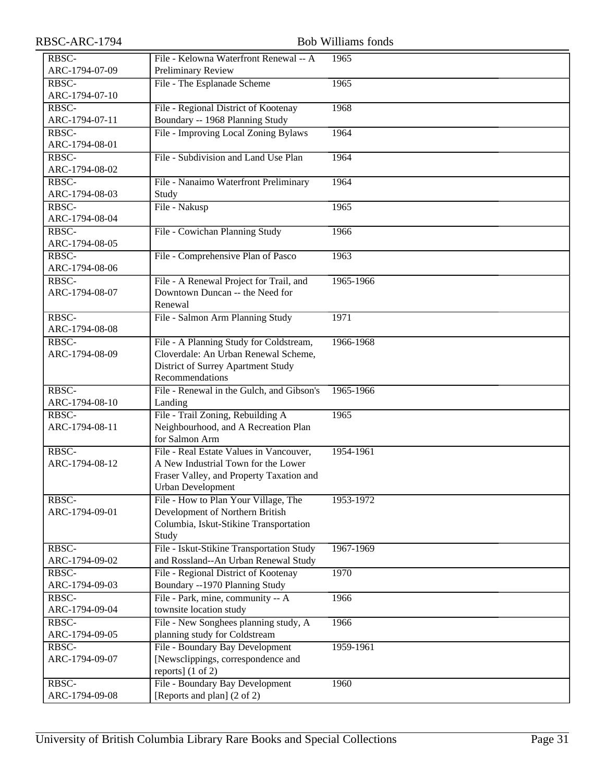| RBSC-ARC-1794  |                                                    | <b>Bob Williams fonds</b> |
|----------------|----------------------------------------------------|---------------------------|
| RBSC-          | File - Kelowna Waterfront Renewal -- A             | 1965                      |
| ARC-1794-07-09 | Preliminary Review                                 |                           |
| RBSC-          | File - The Esplanade Scheme                        | 1965                      |
| ARC-1794-07-10 |                                                    |                           |
| RBSC-          | File - Regional District of Kootenay               | 1968                      |
| ARC-1794-07-11 | Boundary -- 1968 Planning Study                    |                           |
| RBSC-          | File - Improving Local Zoning Bylaws               | 1964                      |
| ARC-1794-08-01 |                                                    |                           |
| RBSC-          | File - Subdivision and Land Use Plan               | 1964                      |
| ARC-1794-08-02 |                                                    |                           |
| RBSC-          | File - Nanaimo Waterfront Preliminary              | 1964                      |
| ARC-1794-08-03 | Study                                              |                           |
| RBSC-          | File - Nakusp                                      | 1965                      |
| ARC-1794-08-04 |                                                    |                           |
| RBSC-          | File - Cowichan Planning Study                     | 1966                      |
| ARC-1794-08-05 |                                                    |                           |
| RBSC-          | File - Comprehensive Plan of Pasco                 | 1963                      |
| ARC-1794-08-06 |                                                    |                           |
| RBSC-          | File - A Renewal Project for Trail, and            | 1965-1966                 |
| ARC-1794-08-07 | Downtown Duncan -- the Need for                    |                           |
| RBSC-          | Renewal<br>File - Salmon Arm Planning Study        | 1971                      |
| ARC-1794-08-08 |                                                    |                           |
| RBSC-          | File - A Planning Study for Coldstream,            | 1966-1968                 |
| ARC-1794-08-09 | Cloverdale: An Urban Renewal Scheme,               |                           |
|                | District of Surrey Apartment Study                 |                           |
|                | Recommendations                                    |                           |
| RBSC-          | File - Renewal in the Gulch, and Gibson's          | 1965-1966                 |
| ARC-1794-08-10 | Landing                                            |                           |
| RBSC-          | File - Trail Zoning, Rebuilding A                  | 1965                      |
| ARC-1794-08-11 | Neighbourhood, and A Recreation Plan               |                           |
|                | for Salmon Arm                                     |                           |
| RBSC-          | File - Real Estate Values in Vancouver,            | 1954-1961                 |
| ARC-1794-08-12 | A New Industrial Town for the Lower                |                           |
|                | Fraser Valley, and Property Taxation and           |                           |
|                | <b>Urban Development</b>                           |                           |
| RBSC-          | File - How to Plan Your Village, The               | 1953-1972                 |
| ARC-1794-09-01 | Development of Northern British                    |                           |
|                | Columbia, Iskut-Stikine Transportation             |                           |
| RBSC-          | Study<br>File - Iskut-Stikine Transportation Study | 1967-1969                 |
| ARC-1794-09-02 | and Rossland--An Urban Renewal Study               |                           |
| RBSC-          | File - Regional District of Kootenay               | 1970                      |
| ARC-1794-09-03 | Boundary --1970 Planning Study                     |                           |
| RBSC-          | File - Park, mine, community -- A                  | 1966                      |
| ARC-1794-09-04 | townsite location study                            |                           |
| RBSC-          | File - New Songhees planning study, A              | 1966                      |
| ARC-1794-09-05 | planning study for Coldstream                      |                           |
| RBSC-          | File - Boundary Bay Development                    | 1959-1961                 |
| ARC-1794-09-07 | [Newsclippings, correspondence and                 |                           |
|                | reports] (1 of 2)                                  |                           |
| RBSC-          | File - Boundary Bay Development                    | 1960                      |
| ARC-1794-09-08 | [Reports and plan] (2 of 2)                        |                           |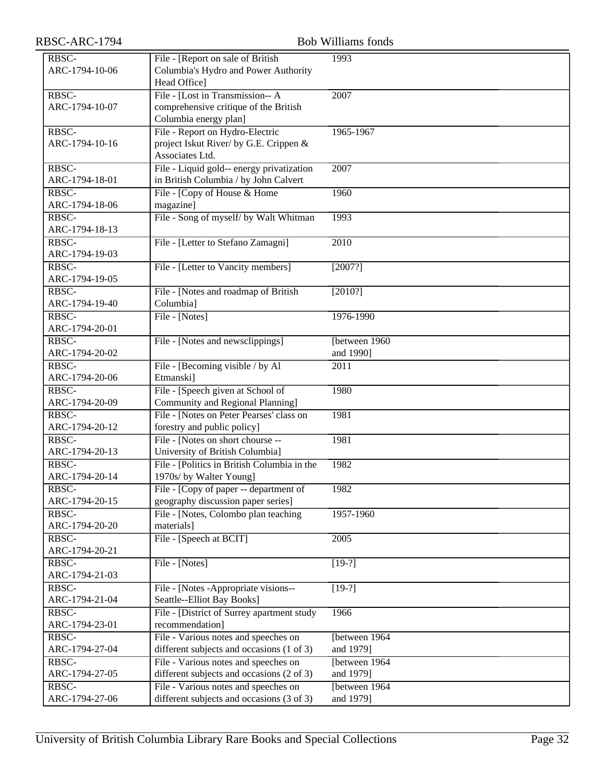| RBSC-ARC-1794           |                                             | <b>Bob Williams fonds</b> |
|-------------------------|---------------------------------------------|---------------------------|
| RBSC-                   | File - [Report on sale of British           | 1993                      |
| ARC-1794-10-06          | Columbia's Hydro and Power Authority        |                           |
|                         | Head Office]                                |                           |
| RBSC-                   | File - [Lost in Transmission-- A            | 2007                      |
| ARC-1794-10-07          | comprehensive critique of the British       |                           |
|                         | Columbia energy plan]                       |                           |
| RBSC-                   | File - Report on Hydro-Electric             | 1965-1967                 |
| ARC-1794-10-16          | project Iskut River/ by G.E. Crippen &      |                           |
|                         | Associates Ltd.                             |                           |
| RBSC-                   | File - Liquid gold-- energy privatization   | 2007                      |
| ARC-1794-18-01          | in British Columbia / by John Calvert       |                           |
| RBSC-                   | File - [Copy of House & Home                | 1960                      |
| ARC-1794-18-06          | magazine]                                   |                           |
| RBSC-<br>ARC-1794-18-13 | File - Song of myself/ by Walt Whitman      | 1993                      |
| RBSC-                   | File - [Letter to Stefano Zamagni]          | 2010                      |
| ARC-1794-19-03          |                                             |                           |
| RBSC-                   | File - [Letter to Vancity members]          | [2007?]                   |
| ARC-1794-19-05          |                                             |                           |
| RBSC-                   | File - [Notes and roadmap of British        | [2010?]                   |
| ARC-1794-19-40          | Columbia]                                   |                           |
| RBSC-                   | File - [Notes]                              | 1976-1990                 |
| ARC-1794-20-01          |                                             |                           |
| RBSC-                   | File - [Notes and newsclippings]            | [between 1960]            |
| ARC-1794-20-02          |                                             | and 1990]                 |
| RBSC-                   | File - [Becoming visible / by Al            | 2011                      |
| ARC-1794-20-06          | Etmanski]                                   |                           |
| RBSC-                   | File - [Speech given at School of           | 1980                      |
| ARC-1794-20-09          | Community and Regional Planning]            |                           |
| RBSC-                   | File - [Notes on Peter Pearses' class on    | 1981                      |
| ARC-1794-20-12          | forestry and public policy]                 |                           |
| RBSC-                   | File - [Notes on short chourse --           | 1981                      |
| ARC-1794-20-13          | University of British Columbia]             |                           |
| RBSC-                   | File - [Politics in British Columbia in the | 1982                      |
| ARC-1794-20-14          | 1970s/ by Walter Young]                     |                           |
| RBSC-                   | File - [Copy of paper -- department of      | 1982                      |
| ARC-1794-20-15          | geography discussion paper series]          |                           |
| RBSC-                   | File - [Notes, Colombo plan teaching        | 1957-1960                 |
| ARC-1794-20-20<br>RBSC- | materials]                                  |                           |
| ARC-1794-20-21          | File - [Speech at BCIT]                     | 2005                      |
| RBSC-                   | File - [Notes]                              | $[19-?]$                  |
| ARC-1794-21-03          |                                             |                           |
| RBSC-                   | File - [Notes - Appropriate visions--       | $[19-?]$                  |
| ARC-1794-21-04          | Seattle--Elliot Bay Books]                  |                           |
| RBSC-                   | File - [District of Surrey apartment study  | 1966                      |
| ARC-1794-23-01          | recommendation]                             |                           |
| RBSC-                   | File - Various notes and speeches on        | [between 1964             |
| ARC-1794-27-04          | different subjects and occasions (1 of 3)   | and 1979]                 |
| RBSC-                   | File - Various notes and speeches on        | [between 1964]            |
| ARC-1794-27-05          | different subjects and occasions (2 of 3)   | and 1979]                 |
| RBSC-                   | File - Various notes and speeches on        | [between 1964]            |
| ARC-1794-27-06          | different subjects and occasions (3 of 3)   | and 1979]                 |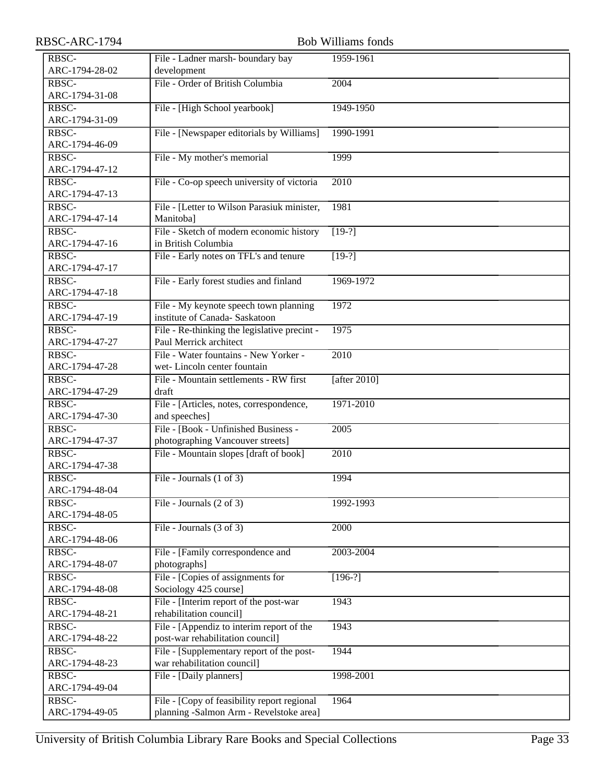| RBSC-ARC-1794           | <b>Bob Williams fonds</b>                    |                 |  |  |
|-------------------------|----------------------------------------------|-----------------|--|--|
| RBSC-                   | File - Ladner marsh- boundary bay            | 1959-1961       |  |  |
| ARC-1794-28-02          | development                                  |                 |  |  |
| RBSC-                   | File - Order of British Columbia             | 2004            |  |  |
| ARC-1794-31-08          |                                              |                 |  |  |
| RBSC-                   | File - [High School yearbook]                | 1949-1950       |  |  |
| ARC-1794-31-09          |                                              |                 |  |  |
| RBSC-                   | File - [Newspaper editorials by Williams]    | 1990-1991       |  |  |
| ARC-1794-46-09          |                                              |                 |  |  |
| RBSC-                   | File - My mother's memorial                  | 1999            |  |  |
| ARC-1794-47-12          |                                              |                 |  |  |
| RBSC-                   | File - Co-op speech university of victoria   | 2010            |  |  |
| ARC-1794-47-13          |                                              |                 |  |  |
| RBSC-                   | File - [Letter to Wilson Parasiuk minister,  | 1981            |  |  |
| ARC-1794-47-14          | Manitoba]                                    |                 |  |  |
| RBSC-                   | File - Sketch of modern economic history     | $[19-?]$        |  |  |
| ARC-1794-47-16          | in British Columbia                          |                 |  |  |
| RBSC-                   | File - Early notes on TFL's and tenure       | $[19-?]$        |  |  |
| ARC-1794-47-17          |                                              |                 |  |  |
| RBSC-                   | File - Early forest studies and finland      | 1969-1972       |  |  |
| ARC-1794-47-18          |                                              |                 |  |  |
| RBSC-                   | File - My keynote speech town planning       | 1972            |  |  |
| ARC-1794-47-19          | institute of Canada- Saskatoon               |                 |  |  |
| RBSC-                   | File - Re-thinking the legislative precint - | 1975            |  |  |
| ARC-1794-47-27          | Paul Merrick architect                       |                 |  |  |
| RBSC-                   | File - Water fountains - New Yorker -        | 2010            |  |  |
| ARC-1794-47-28          | wet-Lincoln center fountain                  |                 |  |  |
| RBSC-                   | File - Mountain settlements - RW first       | [after $2010$ ] |  |  |
| ARC-1794-47-29          | draft                                        |                 |  |  |
| RBSC-                   | File - [Articles, notes, correspondence,     | 1971-2010       |  |  |
| ARC-1794-47-30          | and speeches]                                |                 |  |  |
| RBSC-                   | File - [Book - Unfinished Business -         | 2005            |  |  |
| ARC-1794-47-37          | photographing Vancouver streets]             |                 |  |  |
| RBSC-<br>ARC-1794-47-38 | File - Mountain slopes [draft of book]       | 2010            |  |  |
| RBSC-                   |                                              |                 |  |  |
| ARC-1794-48-04          | File - Journals (1 of 3)                     | 1994            |  |  |
| RBSC-                   | File - Journals (2 of 3)                     | 1992-1993       |  |  |
| ARC-1794-48-05          |                                              |                 |  |  |
| RBSC-                   | File - Journals $(3 \text{ of } 3)$          | 2000            |  |  |
| ARC-1794-48-06          |                                              |                 |  |  |
| RBSC-                   | File - [Family correspondence and            | 2003-2004       |  |  |
| ARC-1794-48-07          | photographs]                                 |                 |  |  |
| RBSC-                   | File - [Copies of assignments for            | $[196-?]$       |  |  |
| ARC-1794-48-08          | Sociology 425 course]                        |                 |  |  |
| RBSC-                   | File - [Interim report of the post-war       | 1943            |  |  |
| ARC-1794-48-21          | rehabilitation council]                      |                 |  |  |
| RBSC-                   | File - [Appendiz to interim report of the    | 1943            |  |  |
| ARC-1794-48-22          | post-war rehabilitation council]             |                 |  |  |
| RBSC-                   | File - [Supplementary report of the post-    | 1944            |  |  |
| ARC-1794-48-23          | war rehabilitation council]                  |                 |  |  |
| RBSC-                   | File - [Daily planners]                      | 1998-2001       |  |  |
| ARC-1794-49-04          |                                              |                 |  |  |
| RBSC-                   | File - [Copy of feasibility report regional  | 1964            |  |  |
| ARC-1794-49-05          | planning -Salmon Arm - Revelstoke area]      |                 |  |  |